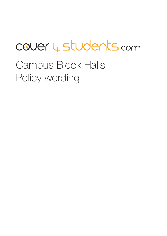# Covery students.com

Campus Block Halls Policy wording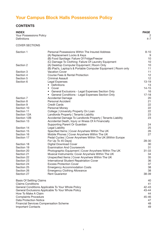## **Your Campus Block Halls Possessions Policy**

## **CONTENTS**

| <b>INDEX</b>            | <b>PAGE</b> |
|-------------------------|-------------|
| Your Possessions Policy | 2           |
| Definitions             | $4 - 7$     |

## COVER SECTIONS

| Section 1                                | Personal Possessions Within The Insured Address                                         | $8 - 10$  |
|------------------------------------------|-----------------------------------------------------------------------------------------|-----------|
|                                          | (A) Replacement Locks & Keys                                                            | 9         |
|                                          | (B) Food Spoilage: Failure Of Fridge/Freezer                                            | 10<br>10  |
| Section 2                                | (C) Damage To Clothing: Failure Of Laundry Equipment                                    | 10        |
|                                          | (A) Desktop Computer Equipment   Room Only                                              | 11        |
| Section 3                                | (B) iPad's, Laptop's & Portable Computer Equipment   Room only<br><b>Vacation Cover</b> | 11        |
| Section 4                                | Course Fees & Rental Protection                                                         | 12        |
| Section 5                                | <b>Criminal Assault</b>                                                                 | 12        |
| Section 6                                | Legal Expenses                                                                          | $13 - 19$ |
|                                          | • Definitions                                                                           | 13        |
|                                          | • Cover                                                                                 | $14 - 15$ |
|                                          | • General Exclusions - Legal Expenses Section Only                                      | 16        |
|                                          | • General Conditions - Legal Expenses Section Only                                      | $17 - 18$ |
| Section 7                                | <b>Accidental Damage</b>                                                                | 20        |
| Section 8                                | <b>Personal Accident</b>                                                                | 21        |
| Section 9                                | <b>Credit Cards</b>                                                                     | 22        |
| Section 10                               | Personal Money                                                                          | 22        |
| Section 11                               | College   University Property On Loan                                                   | 22        |
| Section 12A                              | Landlords Property   Tenants Liability                                                  | 23        |
| Section 12B                              | Accidental Damage To Landlords Property   Tenants Liability                             | 23        |
| Section 13                               | Accidental Death, Injury or Illness Of A Financially                                    |           |
|                                          | Supporting Parent Or Guardian                                                           | 24        |
| Section 14                               | Legal Liability                                                                         | 25        |
| Section 15                               | Specified Items   Cover Anywhere Within The UK                                          | 26        |
| Section 16                               | Mobile Phones   Cover Anywhere Within The UK                                            | 27        |
| Section 17                               | Pedal Cycles   Cover Anywhere Within The UK (Within Europe                              |           |
|                                          | For Up To 45 Days)                                                                      | 28-30     |
| Section 18                               | <b>Digital Download Cover</b>                                                           | 30        |
| Section 19                               | <b>Examination And Coursework</b>                                                       | 31        |
| Section 20                               | Photographic Equipment   Cover Anywhere Within The UK                                   | $31 - 33$ |
| Section 21                               | Musical Instruments: Cover Anywhere Within The UK                                       | 34        |
| Section 22                               | Unspecified Items   Cover Anywhere Within The UK                                        | 35<br>36  |
| Section 23                               | International Student Repatriation Cover<br><b>Excess Protection Cover</b>              | 37        |
| Section 24<br>Section 25                 | <b>Emergency Accommodation Costs</b>                                                    | 38        |
| Section 26                               | <b>Emergency Clothing Allowance</b>                                                     | 38        |
| Section 27                               | <b>Rent Guarantor</b>                                                                   | 38-39     |
| <b>Basis Of Settling Claims</b>          |                                                                                         | 40        |
| <b>Claims Conditions</b>                 |                                                                                         | 41        |
|                                          | General Conditions Applicable To Your Whole Policy                                      | 42-43     |
|                                          | General Exclusions Applicable To Your Whole Policy                                      | 43-44     |
| How To Make A Claim                      |                                                                                         | 44        |
| <b>Complaints Procedure</b><br>$45 - 46$ |                                                                                         |           |
| <b>Data Protection Notice</b>            |                                                                                         | 47        |
|                                          | <b>Financial Services Compensation Scheme</b>                                           | 48        |
| <b>Important Contacts</b>                |                                                                                         | 49        |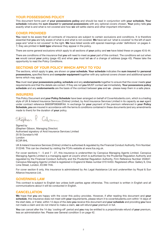## **YOUR POSSESSIONS POLICY**

This document forms part of **your possessions policy** and should be read in conjunction with **your schedule. Your schedule** indicates the **sum insured** for **personal possessions** with any optional covers chosen. **Your** policy tells **you** exactly what is and what is not covered and how **we** will settle claims and other important information.

## **COVER PROVIDED**

You need to be aware that all contracts of insurance are subject to certain exclusions and conditions. It is therefore essential that **you** are fully aware of what is and what is not covered. **We** have set out 'what is covered' to the left of each page and 'what is not covered' to the right. **We** have listed words with special meanings under 'definitions' on pages 4- 7; they are printed in **bold type** whenever they appear in the policy.

There are some general exclusions which apply to all sections of **your** policy and **we** have listed these on pages 43 & 44.

There are conditions of the insurance that **you** will need to meet as **your** part of this contract. The conditions set out when **we** would cancel **your** policy (page 42) and when **you** must tell **us** of a change of address (page 43). Please take the opportunity to read the Policy Conditions.

## **SECTIONS OF YOUR POLICY WHICH APPLY TO YOU**

The sections, which apply to **you**, are shown on **your schedule. Your schedule** indicates the **sum insured** for **personal possessions,** specified Items and **computer equipment** together with any optional covers chosen and additional special terms which may apply.

**You** must read **your possessions policy, schedule** and any **endorsements** together to ensure that the cover meets **your** requirements and that the details are correct. If they are not **you** MUST contact **us** immediately. **Your possessions policy schedule** and any **endorsements** are the basis of the contract between **you** and **us** - please keep them in a safe place.

## **INSURERS**

This Policy Document and **your Policy Schedule** have been arranged on behalf of Cover4students.com, which is a trading style of UK & Ireland Insurance Services (Online) Limited, by Avid Insurance Services Limited in its capacity as **our** agent under contract reference B6839P08068FAA. In exchange for **your** payment of the premium referenced in **your Policy Schedule, you** are insured in accordance with the terms & conditions contained in these documents (and any amendments made to them) for the duration of **your** policy.

Stephen

Signed by (Stephen Gibson, Managing Director) Authorised signatory of Avid Insurance Services Limited 20 St Dunstan's Hill London EC3R 8HL

UK & Ireland Insurance Services (Online) Limited is authorised & regulated by the Financial Conduct Authority. Firm Number: 312248. This can be checked by visiting the FCA's website at www.fca.org.uk.

For cover sections 1 - 5 and 7 - 27, this insurance is underwritten by Canopius Managing Agents Limited. Canopius Managing Agents Limited is a managing agent at Lloyd's which is authorised by the Prudential Regulation Authority and regulated by the Financial Conduct Authority and the Prudential Regulation Authority, Firm Reference Number 204847. Canopius Managing Agents Limited is registered in England & Wales number 01514453. Registered office: Gallery 9, One Lime Street, London, EC3M 7HA.

For cover section 6 only, this insurance is administered by Arc Legal Assistance Ltd and underwritten by Royal & Sun Alliance Insurance Ltd.

## **GOVERNING LAW**

This contract is subject to English law unless both parties agree otherwise. This contract is written in English and all communications about it will be conducted in English.

## **CANCELLATION**

**We** hope that **you** are happy with the cover this policy provides. However, if after reading this document and **your schedule**, this insurance does not meet with **your** requirements, please return it to cover4students.com within 14 days of the start date, or if later, within 14 days of the date **you** receive this document and **your schedule** and providing **you** have not made a claim and do not intend to make a claim, **we** will refund **your** premium in full.

**You** can cancel after the 14 day 'cooling-off' period and **you** may be entitled to a proportionate refund of **your** premium, less an administration fee. Please see General condition 5 on page 42.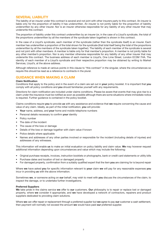## **SEVERAL LIABILITY**

The liability of an insurer under this contract is several and not joint with other insurers party to this contract. An insurer is liable only for the proportion of liability it has underwritten. An insurer is not jointly liable for the proportion of liability underwritten by any other insurer. Nor is an insurer otherwise responsible for any liability of any other insurer that may underwrite this contract.

The proportion of liability under this contract underwritten by an insurer (or, in the case of a Lloyd's syndicate, the total of the proportions underwritten by all the members of the syndicate taken together) is shown in this contract.

In the case of a Lloyd's syndicate, each member of the syndicate (rather than the syndicate itself) is an insurer. Each member has underwritten a proportion of the total shown for the syndicate (that total itself being the total of the proportions underwritten by all the members of the syndicate taken together). The liability of each member of the syndicate is several and not joint with other members. A member is liable only for that member's proportion. A member is not jointly liable for any other member's proportion. Nor is any member otherwise responsible for any liability of any other insurer that may underwrite this contract. The business address of each member is Lloyd's, One Lime Street, London EC3M 7HA. The identity of each member of a Lloyd's syndicate and their respective proportion may be obtained by writing to Market Services, Lloyd's, at the above address.

Although reference is made at various points in this clause to "this contract" in the singular, where the circumstances so require this should be read as a reference to contracts in the plural.

## **GUIDANCE WHEN MAKING A CLAIM**

### **Claim Notification**

Conditions that apply to the policy and in the event of a claim are set out in **your** policy booklet. It is important that **you** comply with all policy conditions and **you** should familiarise yourself with any requirements.

Directions for claim notification are included under claims conditions. Please be aware that events that may give rise to a claim under the insurance must be notified as soon as possible although there are some situations where immediate notice is required. Further guidance is contained in the policy booklet.

Claims conditions require **you** to provide **us** with any assistance and evidence that **we** require concerning the cause and value of any claim. Ideally, as part of the initial notification, **you** will provide:

- **Your** name, address, and **your** home and mobile telephone numbers
- Personal details necessary to confirm **your** identity
- Policy number
- The date of the incident
- The cause of the loss or damage
- Details of the loss or damage together with claim value if known
- Police details where applicable
- Names and addresses of any other parties involved or responsible for the incident (including details of injuries) and addresses of any witnesses.

This information will enable **us** to make an initial evaluation on policy liability and claim value. **We** may however request additional information depending upon circumstances and value which may include the following:

- Original purchase receipts, invoices, instruction booklets or photographs, bank or credit card statements or utility bills
- Purchase dates and location of lost or damaged property
- For damaged property, confirmation from a suitably qualified expert that the item **you** are claiming for is beyond repair

Where **we** have asked **you** for specific information relevant to **your** claim **we** will pay for any reasonable expenses **you** incur in providing **us** with the above information.

Sometimes **we**, or someone acting on **our** behalf, may wish to meet with **you** discuss the circumstances of the claim, to inspect the damage, or to undertake further investigations.

#### **Preferred Suppliers**

**We** take pride in the claims service **we** offer to **our** customers. **Our** philosophy is to repair or replace lost or damaged property, where **we** consider it appropriate, and **we** have developed a network of contractors, repairers and product suppliers dedicated to providing claim solutions.

Where **we** can offer repair or replacement through a preferred supplier but **we** agree to pay **our** customer a cash settlement, then payment will normally not exceed the amount **we** would have paid **our** preferred supplier.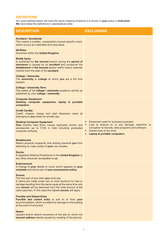| <b>DESCRIPTION</b>                                                                                                                                                                                                                                                                                              | <b>EXCLUSIONS</b>                                                                                                                                                                                                            |
|-----------------------------------------------------------------------------------------------------------------------------------------------------------------------------------------------------------------------------------------------------------------------------------------------------------------|------------------------------------------------------------------------------------------------------------------------------------------------------------------------------------------------------------------------------|
| <b>Accident / Accidental</b><br>This means a sudden, unexpected unusual specific event,<br>which occurs at a definable time and place.                                                                                                                                                                          |                                                                                                                                                                                                                              |
| <b>All Risks</b><br>Anywhere within the United Kingdom.                                                                                                                                                                                                                                                         |                                                                                                                                                                                                                              |
| <b>Bodily Injury</b><br>Is sustained by the insured person during the period of<br>insurance is caused by an accident and occasions the<br>disablement of the insured person within twelve calendar<br>months from the date of the <b>accident</b> .                                                            |                                                                                                                                                                                                                              |
| <b>College / University</b><br>The university or college at which you are a full time<br>student.                                                                                                                                                                                                               |                                                                                                                                                                                                                              |
| <b>College / University Term</b><br>The weeks of full college / university academic activity as<br>published by your college / university.                                                                                                                                                                      |                                                                                                                                                                                                                              |
| <b>Computer Equipment</b><br>Desktop computer equipment, laptop & portable<br>computers.                                                                                                                                                                                                                        |                                                                                                                                                                                                                              |
| <b>Credit Card(s)</b><br>Credit, cheque, charge and cash dispenser cards all<br>belonging to you solely for private use.                                                                                                                                                                                        |                                                                                                                                                                                                                              |
| <b>Desktop Computer Equipment</b><br>Your monitor, hard drive, mouse, keyboard, printer, and<br>accessories up to £150 in total including preloaded<br>computer software.                                                                                                                                       | Equipment used for business purposes.<br>Loss or erasure of, or any damage, distortion or<br>corruption to records, data programs and software.<br>• Indirect loss of any kind.<br>Laptop & portable computers.<br>$\bullet$ |
| <b>Disablement</b><br>Means physical incapacity that entirely prevents you from<br>attending to major duties of your own studies.                                                                                                                                                                               |                                                                                                                                                                                                                              |
| Doctor<br>A registered Medical Practitioner in the United Kingdom or<br>any other physician acceptable to us.                                                                                                                                                                                                   |                                                                                                                                                                                                                              |
| <b>Endorsement</b><br>A change of your details or cover which appears on your<br>schedule and forms part of your possessions policy.                                                                                                                                                                            |                                                                                                                                                                                                                              |
| <b>Excess</b><br>The first part of any claim you must pay.<br>If claims are made under two or more sections for loss or<br>damage resulting from the same cause at the same time only<br>one excess will be deducted from the total amount of the<br>claim payment. In this case the highest excess will apply. |                                                                                                                                                                                                                              |
| <b>Forcible and Violent Entry</b><br>Forcible and violent entry or exit to or from your<br>accommodation, which is evident by damage to the building<br>at the point of entry/exit.                                                                                                                             |                                                                                                                                                                                                                              |
| <b>Heave</b><br>Upward and/or lateral movement of the site on which the<br>insured address stands caused by swelling of the ground.                                                                                                                                                                             |                                                                                                                                                                                                                              |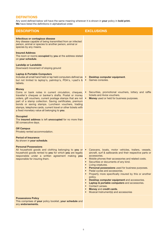| <b>DESCRIPTION</b>                                                                                                                                                                                                                                                                                                                                                                                                               | <b>EXCLUSIONS</b>                                                                                                                                                                                                                                                                                                                                                                                                                                                                                                                                                             |
|----------------------------------------------------------------------------------------------------------------------------------------------------------------------------------------------------------------------------------------------------------------------------------------------------------------------------------------------------------------------------------------------------------------------------------|-------------------------------------------------------------------------------------------------------------------------------------------------------------------------------------------------------------------------------------------------------------------------------------------------------------------------------------------------------------------------------------------------------------------------------------------------------------------------------------------------------------------------------------------------------------------------------|
| Infectious or contagious disease<br>Any disease capable of being transmitted from an infected<br>person, animal or species to another person, animal or<br>species by any means.                                                                                                                                                                                                                                                 |                                                                                                                                                                                                                                                                                                                                                                                                                                                                                                                                                                               |
| <b>Insured Address</b><br>The room or rooms occupied by you at the address stated<br>on your schedule.                                                                                                                                                                                                                                                                                                                           |                                                                                                                                                                                                                                                                                                                                                                                                                                                                                                                                                                               |
| <b>Landslip or Landslide</b><br>Downward movement of sloping ground                                                                                                                                                                                                                                                                                                                                                              |                                                                                                                                                                                                                                                                                                                                                                                                                                                                                                                                                                               |
| <b>Laptop &amp; Portable Computers</b><br>Includes all small hand held or lap held computers defined as $\bullet$<br>but not limited to laptop's, palmtop's, PDA's, i-pad's & •<br>tablets.                                                                                                                                                                                                                                      | Desktop computer equipment.<br>Games consoles.                                                                                                                                                                                                                                                                                                                                                                                                                                                                                                                                |
| <b>Money</b><br>Coins or bank notes in current circulation, cheques,<br>traveller's cheques or banker's drafts. Postal or money<br>orders, gift vouchers, current postage stamps that are not<br>part of a stamp collection. Saving certificates, premium<br>bonds or saving stamps. Luncheon vouchers, trading<br>stamps, telephone cards, current travel or other tickets with<br>a fixed monetary value all belonging to you. | Securities, promotional vouchers, lottery and raffle<br>tickets and Avios vouchers.<br>Money used or held for business purposes.<br>$\bullet$                                                                                                                                                                                                                                                                                                                                                                                                                                 |
| <b>Occupied</b><br>The insured address is left unoccupied for no more than<br>30 consecutive days.                                                                                                                                                                                                                                                                                                                               |                                                                                                                                                                                                                                                                                                                                                                                                                                                                                                                                                                               |
| <b>Off Campus</b><br>Privately rented accommodation.                                                                                                                                                                                                                                                                                                                                                                             |                                                                                                                                                                                                                                                                                                                                                                                                                                                                                                                                                                               |
| <b>Period of Insurance</b><br>As shown in your schedule.                                                                                                                                                                                                                                                                                                                                                                         |                                                                                                                                                                                                                                                                                                                                                                                                                                                                                                                                                                               |
| <b>Personal Possessions</b><br>All household goods and clothing belonging to you or . Caravans, boats, motor vehicles, trailers, vessels,<br>household goods rented to you for which you are legally<br>responsible under a written agreement making you<br>responsible for insuring them.                                                                                                                                       | aircraft, surf & sailboards and their respective parts or<br>accessories.<br>• Mobile phones their accessories and related costs.<br>Securities or documents of any kind.<br>$\bullet$<br>• Living creatures.<br>• Personal possessions used for business purposes.<br>• Pedal cycles and accessories.<br>• Property more specifically insured by this or another<br>policy.<br>• Desktop computer equipment and accessories.<br>Laptop & portable computers and accessories.<br>• Contact Lenses.<br><b>Money and credit cards.</b><br>Musical Instrument(s) and accessories |
| <b>Possessions Policy</b><br>This comprises of your policy booklet, your schedule and<br>any endorsements.                                                                                                                                                                                                                                                                                                                       |                                                                                                                                                                                                                                                                                                                                                                                                                                                                                                                                                                               |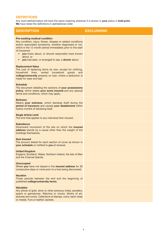| <b>DESCRIPTION</b>                                                                                                                                                                                                                                                                                                                                                       | <b>EXCLUSIONS</b> |
|--------------------------------------------------------------------------------------------------------------------------------------------------------------------------------------------------------------------------------------------------------------------------------------------------------------------------------------------------------------------------|-------------------|
| <b>Pre-existing medical condition</b><br>Any condition, injury, illness, disease or related conditions<br>and/or associated symptoms, whether diagnosed or not,<br>which in the 12 month period immediately prior to the start<br>of insurance:<br>• you knew about, or should reasonably have known<br>about, or<br>• you had seen, or arranged to see, a doctor about. |                   |
| <b>Replacement Value</b><br>The cost of replacing items as new, except for clothing,<br>household linen, rented household goods<br>and<br>college/university property on loan, where a deduction is<br>made for wear and tear.                                                                                                                                           |                   |
| <b>Schedule</b><br>The document detailing the sections of your possessions<br>policy, which states your sums insured and any special<br>terms and conditions, which may apply.                                                                                                                                                                                           |                   |
| <b>Sickness</b><br>Means your sickness, which declares itself during the<br>period of insurance and causes your disablement within<br>twelve months of declaring itself.                                                                                                                                                                                                 |                   |
| <b>Single Article Limit</b><br>The limit that applies to any individual item insured.                                                                                                                                                                                                                                                                                    |                   |
| <b>Subsidence</b><br>Downward movement of the site on which the <b>insured</b><br>address stands by a cause other than the weight of the<br>buildings themselves.                                                                                                                                                                                                        |                   |
| <b>Sum Insured</b><br>The amount stated for each section of cover as shown in<br>your schedule or notified to you at renewal.                                                                                                                                                                                                                                            |                   |
| <b>United Kingdom</b><br>England, Scotland, Wales, Northern Ireland, the Isle of Man<br>and the Channel Islands.                                                                                                                                                                                                                                                         |                   |
| <b>Unoccupied</b><br>Where you have not stayed in the insured address for 30<br>consecutive days or more prior to a loss being discovered.                                                                                                                                                                                                                               |                   |
| <b>Vacation</b><br>Those periods between the end and the beginning of<br>published college/university terms.                                                                                                                                                                                                                                                             |                   |
| <b>Valuables</b><br>Any article of gold, silver or other precious metal, jewellery,<br>pearls or gemstones. Watches or clocks. Works of art,<br>pictures and curios. Collections of stamps, coins, bank notes<br>or metals. Furs or leather Jackets.                                                                                                                     |                   |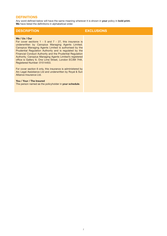| <b>DESCRIPTION</b>                                                                                                                                                                                                                                                                                                                                                                                                                                                       | <b>EXCLUSIONS</b> |
|--------------------------------------------------------------------------------------------------------------------------------------------------------------------------------------------------------------------------------------------------------------------------------------------------------------------------------------------------------------------------------------------------------------------------------------------------------------------------|-------------------|
| We / Us / Our<br>For cover sections $1 - 5$ and $7 - 27$ , this insurance is<br>underwritten by Canopius Managing Agents Limited.<br>Canopius Managing Agents Limited is authorised by the<br>Prudential Regulation Authority and is regulated by the<br>Financial Conduct Authority and the Prudential Regulation<br>Authority. Canopius Managing Agents Limited's registered<br>office is Gallery 9, One Lime Street, London EC3M 7HA.<br>Registered Number: 01514453. |                   |
| For cover section 6 only, this insurance is administered by<br>Arc Legal Assistance Ltd and underwritten by Royal & Sun<br>Alliance Insurance Ltd.                                                                                                                                                                                                                                                                                                                       |                   |
| You / Your / The Insured<br>The person named as the policyholder in your schedule.                                                                                                                                                                                                                                                                                                                                                                                       |                   |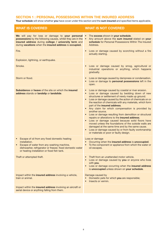## **SECTION 1 : PERSONAL POSSESSIONS WITHIN THE INSURED ADDRESS**

**Your schedule** will show whether **you** have cover under this section and the **sum insured** and specified items applicable.

| <b>WHAT IS COVERED</b>                                                                                                                                                                                                                            | <b>WHAT IS NOT COVERED</b>                                                                                                                                                                                                                                                                                                                                                                                                                                                                                                                                                                                                                                                                                                                                                                                              |
|---------------------------------------------------------------------------------------------------------------------------------------------------------------------------------------------------------------------------------------------------|-------------------------------------------------------------------------------------------------------------------------------------------------------------------------------------------------------------------------------------------------------------------------------------------------------------------------------------------------------------------------------------------------------------------------------------------------------------------------------------------------------------------------------------------------------------------------------------------------------------------------------------------------------------------------------------------------------------------------------------------------------------------------------------------------------------------------|
| We will pay for loss or damage to your personal<br>possessions by the following causes, whilst they are in the<br>insured address during college / university term and<br>during vacations when the insured address is occupied.                  | The excess shown in your schedule.<br>$\bullet$<br>Any amount above the sum insured stated on your<br>$\bullet$<br>schedule for Personal Possessions Within The Insured<br>Address.                                                                                                                                                                                                                                                                                                                                                                                                                                                                                                                                                                                                                                     |
| Fire.                                                                                                                                                                                                                                             | Loss or damage caused by scorching without a fire<br>$\bullet$<br>actually starting.                                                                                                                                                                                                                                                                                                                                                                                                                                                                                                                                                                                                                                                                                                                                    |
| Explosion, lightning, or earthquake.                                                                                                                                                                                                              |                                                                                                                                                                                                                                                                                                                                                                                                                                                                                                                                                                                                                                                                                                                                                                                                                         |
| Smoke.                                                                                                                                                                                                                                            | Loss or damage caused by smog, agricultural or<br>$\bullet$<br>industrial operations or anything, which happens<br>gradually.                                                                                                                                                                                                                                                                                                                                                                                                                                                                                                                                                                                                                                                                                           |
| Storm or flood.                                                                                                                                                                                                                                   | Loss or damage caused by dampness or condensation.<br>Loss or damage to personal possessions left in the<br>$\bullet$<br>open.                                                                                                                                                                                                                                                                                                                                                                                                                                                                                                                                                                                                                                                                                          |
| <b>Subsidence or heave of the site on which the insured</b><br>address stands or landslip or landslide.                                                                                                                                           | Loss or damage caused by coastal or river erosion.<br>$\bullet$<br>Loss or damage caused by bedding down of new<br>$\bullet$<br>structures or settlement of newly made up ground.<br>Loss or damage caused by the action of chemicals on or<br>$\bullet$<br>the reaction of chemicals with any materials, which form<br>part of the insured address.<br>• Any claim for which compensation is provided by<br>another source.<br>• Loss or damage resulting from demolition or structural<br>repairs or alterations to the insured address.<br>Loss or damage caused because solid floors have<br>moved unless the foundations of the outside walls are<br>damaged at the same time and by the same cause.<br>Loss or damage caused by or from faulty workmanship<br>$\bullet$<br>or materials or poor or faulty design. |
| Escape of oil from any fixed domestic heating<br>$\bullet$<br>installation.<br>Escape of water from any washing machine,<br>$\bullet$<br>dishwasher, refrigerator or freezer, fixed domestic water<br>or heating installation or fixed fish tank. | Loss or damage<br>Occurring when the insured address is unoccupied.<br>$\bullet$<br>To the component or appliance from which the water or<br>$\bullet$<br>oil escapes.                                                                                                                                                                                                                                                                                                                                                                                                                                                                                                                                                                                                                                                  |
| Theft or attempted theft.                                                                                                                                                                                                                         | Theft from an unattended motor vehicle.<br>Loss or damage caused by you or anyone who lives<br>with you.<br>Loss or damage occurring when the insured address<br>is unoccupied unless shown on your schedule.                                                                                                                                                                                                                                                                                                                                                                                                                                                                                                                                                                                                           |
| Impact within the insured address involving a vehicle,<br>train or animal.                                                                                                                                                                        | Damage caused by<br>Domestic pets for which you are responsible;<br>Insects or vermin.<br>$\bullet$                                                                                                                                                                                                                                                                                                                                                                                                                                                                                                                                                                                                                                                                                                                     |
| Impact within the insured address involving an aircraft or<br>aerial device or anything falling from them.                                                                                                                                        |                                                                                                                                                                                                                                                                                                                                                                                                                                                                                                                                                                                                                                                                                                                                                                                                                         |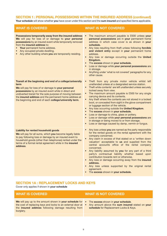## **SECTION 1 : PERSONAL POSSESSIONS WITHIN THE INSURED ADDRESS (continued)**

**Your schedule** will show whether **you** have cover under this section and the **sum insured** and specified items applicable.

**Possessions temporarily away from the insured address We** will pay for loss of or damage to **your personal possessions** by an insured event while temporarily removed from the **insured address** to:

- **Your** permanent home address.
- Any occupied private dwelling.
- Any other building where **you** are temporarily residing.

## **Transit at the beginning and end of a college/university term**

**We** will pay for loss of or damage to **your personal possessions** by an insured event while in direct and undiverted transit for the sole purpose of moving between the **insured address** and the permanent home address at the beginning and end of each **college/university term**.

## **Liability for rented household goods**

**We** will pay for all sums, which **you** become legally liable to pay following loss or damage by an insured event to household goods (other than telephones) rented under the terms of a formal rental agreement while in the **insured address**.

## **WHAT IS COVERED WHAT IS NOT COVERED**

- The maximum amount payable is £500 unless **your personal possessions** are in **your** permanent home address in which case cover is as shown in **your schedule.**
- Any loss resulting from theft unless following **forcible and violent entry** except in **your** permanent home address.
- Any loss or damage occurring outside the **United Kingdom.**
- The **excess** shown in **your schedule.**
- Loss or damage while **your personal possessions** are in storage.
- Anything under 'what is not covered' paragraphs for any other cause.
- Theft from any private motor vehicle whilst left unattended unless at a designated service station.
- Theft while contents' are left unattended unless securely locked away from view.
- The maximum amount payable is £500 for any single carrying device and its contents.
- Any theft where the contents are not stored in a locked boot, or concealed from sight in the glove compartment or luggage section of the vehicle.
- Any loss occurring outside the **United Kingdom**.
- The **excess** shown in **your schedule.**
- Loss or damage to china, glass or pottery.
- Loss or damage while **your personal possessions** are in storage or being moved to or from storage.
- Loss or damage caused by damp, vermin or fungus.
- Any loss unless **you** are named as the party responsible for the rented goods on the rental agreement with the company concerned.
- Any claim in excess of that stated on a 'written down valuation' acceptable to **us** and supplied from the central accounts office of the rental company concerned.
- Any liability assumed by **you** for any part of a third party's contractual liability whether based upon contribution towards rent or otherwise.
- Any loss or damage occurring away from the **insured address.**
- Any loss unless supported by the original rental agreement.
- The **excess** shown in **your schedule.**

## **SECTION 1A : REPLACEMENT LOCKS AND KEYS**

**We** will pay up to the amount shown in **your schedule** for the cost of replacing keys and locks to an external door at the **insured address** following damage resulting from

Cover only applies if shown in **your schedule**

burglary.

- The **excess** shown in **your schedule**.
- Any amount above the **sum insured** stated on **your schedule** for Replacement Locks & Keys.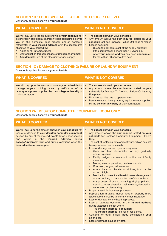## **SECTION 1B : FOOD SPOILAGE: FAILURE OF FRIDGE / FREEZER**

Cover only applies if shown in **your schedule**

**We** will pay up to the amount shown in **your schedule** for deterioration of refrigerated/frozen foods belonging solely to **you** in the domestic deep freezer and/or domestic refrigerator in **your insured address** or in the kitchen area allocated to **you**, caused by:

- A rise or fall in temperature;
- Contamination through escape of refrigerant or fumes;
- **Accidental** failure of the electricity or gas supply.

## **WHAT IS COVERED WHAT IS NOT COVERED**

- The **excess** shown in **your schedule.**
- Any amount above the **sum insured** stated on **your schedule** for Food Spoilage: Failure Of Fridge / Freezer. • Losses occurring:
	- Due to the deliberate act of the supply authority.
	- If the compressor is more than 12 years old.
	- After **your insured address** has been **unoccupied** for more than 30 consecutive days.

## **SECTION 1C : DAMAGE TO CLOTHING: FAILURE OF LAUNDRY EQUIPMENT**

Cover only applies if shown in **your schedule**

**We** will pay up to the amount shown in **your schedule** for damage to **your** clothing caused by malfunction of the laundry equipment supplied by the **college/university** or their contractors.

## **WHAT IS COVERED WHAT IS NOT COVERED**

- The **excess** shown in **your schedule.**
- Any amount above the **sum insured** stated on **your schedule** for Damage To Clothing: Failure Of Laundry Equipment.
- No cover applies due to operator error.
- Damage caused by any laundry equipment not supplied by the **college/university** or their contractors.

## **SECTION 2A : DESKTOP COMPUTER EQUIPMENT | ROOM ONLY**

Cover only applies if shown in **your schedule**

**We** will pay up to the amount shown in **your schedule** for loss of or damage to **your desktop computer equipment** caused by any of the insured events listed under section one whilst in the **insured address** during **college/university term** and during vacations when the **insured address** is **occupied.**

- The **excess** shown in **your schedule.**
- Any amount above the **sum insured** stated on **your schedule** for Desktop Computer Equipment | Room Only.
- The cost of replacing data and software, which has not been purchased commercially.
- Loss or damage caused by or arising from:
	- Wear and tear, depreciation or any gradually operating cause.
	- Faulty design or workmanship or the use of faulty materials.
	- Moths, insects, parasites, beetle or vermin.
	- Corrosion, fungus, mildew or rot.
	- Atmospheric or climatic conditions, frost or the action of light.
	- Mechanical or electrical breakdown or derangement or use contrary to the manufacturer's instructions.
	- Any process of dyeing, cleaning, drying, painting, washing, repair, alteration, maintenance, decoration, restoration or dismantling.
- Property used for business purposes.
- Depreciation in value, indirect loss or property more specifically insured by this or any other insurance.
- Loss or damage by any heating process.
- Loss or damage occurring in the **insured address** during vacations except where:
	- The **insured address** is **occupied.**
	- The **insured address** is a hall of residence.
- Customs or other official body confiscating **your** belongings.
- Loss or damage caused by pets.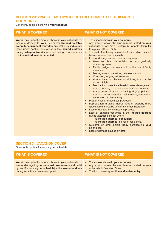## **SECTION 2B: i'PAD'S, LAPTOP'S & PORTABLE COMPUTER EQUIPMENT | ROOM ONLY**

Cover only applies if shown in **your schedule**

**We** will pay up to the amount shown in **your schedule** for loss of or damage to **your** iPad and/or **laptop & portable computer equipment** caused by any of the insured events listed under section one whilst in the **insured address** during **college/university term** and during vacations when the **insured address** is **occupied.**

## **WHAT IS COVERED WHAT IS NOT COVERED**

- The **excess** shown in **your schedule.**
- Any amount above the **sum insured** stated on **your schedule** for for iPad's, Laptop's & Portable Computer Equipment | Room Only.
- The cost of replacing data and software, which has not been purchased commercially.
- Loss or damage caused by or arising from:
	- Wear and tear, depreciation or any gradually operating cause.
	- Faulty design or workmanship or the use of faulty materials.
	- Moths, insects, parasites, beetle or vermin.
	- Corrosion, fungus, mildew or rot.
	- Atmospheric or climatic conditions, frost or the action of light.
	- Mechanical or electrical breakdown or derangement or use contrary to the manufacturer's instructions.
	- Any process of dyeing, cleaning, drying, painting, washing, repair, alteration, maintenance, decoration, restoration or dismantling.
- Property used for business purposes.
- Depreciation in value, indirect loss or property more specifically insured by this or any other insurance.
- Loss or damage by any heating process.
- Loss or damage occurring in the **insured address** during vacations except where:
	- The **insured address** is **occupied.**
	- The **insured address** is a hall of residence.
- Customs or other official body confiscating **your** belongings.
- Loss or damage caused by pets.

## **SECTION 3 : VACATION COVER**

Cover only applies if shown in **your schedule**

**We** will pay up to the amount shown in **your schedule** for loss or damage to **your personal possessions** and pedal cycles (if shown in **your schedule**) in the **insured address** during **vacation** when **unoccupied**.

- The **excess** shown in **your schedule.**
- Any amount above the **sum insured** stated on **your schedule** for Vacation Cover.
- Theft not involving **forcible and violent entry.**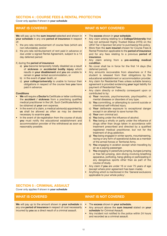## **SECTION 4 : COURSE FEES & RENTAL PROTECTION**

Cover only applies if shown in **your schedule**

**We** will pay up to the **sum insured** selected and shown in **your schedule** in any one **period of insurance** in respect of:

- 1. the pro-rata reimbursement of course fees (which are non-refundable), and/or
- 2. the pro-rata reimbursement of rent paid in advance or due under a signed Rental Agreement, subject to a 14 day deferred period:
- if, during the **period of insurance**
	- a) **you** become temporarily totally disabled as a result of **sickness** or **accidental bodily injury** which results in **your disablement** and **you** are unable to remain in **your** rented accommodation, or
	- b) in the event of **your** death, or
	- c) **your college/university** is unable to honour their obligations in respect of the course fees **you** have paid in advance.

#### **Conditions**

- **We** will require a **Doctor's** Certificate or letter confirming the **accident / sickness** from a practising qualified medical practitioner in the UK. Such Certificate/letter to be obtained at **your** own expense.
- In the event of a claim, a medical advisor(s) appointed by **us** shall be allowed as often as may be deemed necessary to examine **you**.
- In the event of de-registration from the course of study **you** must notify the educational establishment and accommodation provider of the withdrawal as soon as reasonably possible.

## **WHAT IS COVERED WHAT IS NOT COVERED**

- The **excess** shown in **your schedule**.
- Any claim arising relating to a **College/University** that has not achieved Highly Trusted Status (HTS) on the UKVI Tier 4 Sponsor list prior to purchasing this policy.
- More than the **sum insured** chosen for Course Fees & Rental Protection applicable to the **period of insurance** and for any fees relating to a previous **period of insurance**.
- Any claim arising from a **pre-existing medical condition**.
- No cover shall be in force for the first 14 days (the deferred period).
- Any amounts recoverable from elsewhere or if the student is released from their obligations by the educational establishment or accommodation provider.
- Any claim for Residential Fees unless suitable tenancy agreement is provided evidencing **your** legal liability for payment of Residential Fees.
- Any claim directly or indirectly consequent upon or contributed to by:
	- a) **Your** neurosis, psychoneurosis, psychopathic, or mental diseases or disorders of any type.
	- b) **You** committing, or attempting to commit suicide or intentional self-inflicted injury.
	- c) **Your** deliberate exposure to exceptional danger except in an attempt to save human life.
	- d) **Your** own criminal act.
	- e) **You** being under the influence of alcohol.
	- f) **You** being a wholly or partly under the influence of drugs other than drugs taken in accordance with treatment prescribed and directed by a qualified registered medical practitioner, but not for the treatment of drug addiction.
	- g) **You** being engaged in winter sports, mountaineering, racing or any form of operational duties as a member of the armed forces or Territorial Army.
	- h) **You** engaging in aviation except when travelling by air as a paying passenger.
	- You engaging in parachute jumping, bungee jumping or free fall jumping, skin-diving involving breathing apparatus, potholing, hang-gliding or participating in any dangerous sports other than as part of the course of study.
- Any claim if **you** are under 16 or over 75 years of age (except where prior agreement has been made).
- Anything which is mentioned in the 'General exclusions applicable to your whole policy'.

## **SECTION 5 : CRIMINAL ASSAULT**

Cover only applies if shown in **your schedule**

**We** will pay up to the amount shown in **your schedule** in any one **period of insurance** in respect of cost necessarily incurred by **you** as a direct result of a criminal assault.

- The **excess** shown in **your schedule.**
- Any amount above the **sum insured** stated on **your schedule** for Criminal Assault.
- Any incident not notified to the police within 24 hours and recorded as a criminal assault.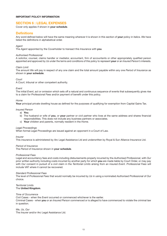## **IMPORTANT POLICY INFORMATION**

## **SECTION 6 : LEGAL EXPENSES**

Cover only applies if shown in **your schedule**.

## **Definitions**

Any word defined below will have the same meaning wherever it is shown in this section of **your** policy in italics. *We* have listed the definitions in alphabetical order.

### *Agent*

The *Agent* appointed by the Coverholder to transact this Insurance with **you**.

#### *Authorised Professional*

A solicitor, counsel, claims handler or mediator, accountant, firm of accountants or other appropriately qualified person appointed and approved by *Us* under the terms and conditions of this policy to represent **your** or an *Insured Person's* interests.

#### *Claim Limit*

The amount *We* will pay in respect of any one claim and the total amount payable within any one *Period of Insurance* as shown in **your schedule**.

#### *Court*

A *Court*, tribunal or other competent authority.

#### *Event*

The initial *Event*, act or omission which sets off a natural and continuous sequence of events that subsequently gives rise to a claim for *Professional Fees* and/or payment of benefit under this policy.

#### *Home*

**Your** principal private dwelling house as defined for the purposes of qualifying for exemption from Capital Gains Tax.

### *Insured Person*

- a) **You**.
- b) The husband or wife of **you**, or **your** partner or civil partner who lives at the same address and shares financial responsibilities. This does not include any business partners or associates.
- c) **Your** children and parents, normally resident in the *Home*.

### *Legal Proceedings*

When formal *Legal Proceedings* are issued against an opponent in a Court of Law.

#### *Insurer*

This insurance is administered by Arc Legal Assistance Ltd and underwritten by Royal & Sun Alliance Insurance Ltd.

#### *Period of Insurance*

The *Period of Insurance* shown in **your schedule**.

#### *Professional Fees*

Legal and accountancy fees and costs including disbursements properly incurred by the *Authorised Professional*, with *Our* prior written authority including costs incurred by another party for which **you** are made liable by Court Order, or may pay with *Our* consent in pursuit of a civil claim in the *Territorial Limits* arising from an insured *Event*. *Professional Fees* will include VAT where it cannot be recovered.

#### *Standard Professional Fees*

The level of *Professional Fees* that would normally be incurred by *Us* in using a nominated *Authorised Professional* of *Our* choice.

### *Territorial Limits* The **United Kingdom**.

#### *Time of Occurrence*

Civil Cases - when the *Event* occurred or commenced whichever is the earlier. Criminal Cases - when **you** or an *Insured Person* commenced or is alleged to have commenced to violate the criminal law in question.

#### *We*, *Us*, *Our*

The *Insurer* and/or Arc Legal Assistance Ltd.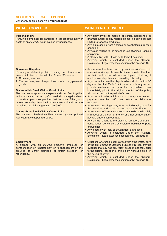## **SECTION 6 : LEGAL EXPENSES**

Cover only applies if shown in **your schedule**

### **Personal Injury**

Pursuing a civil claim for damages in respect of the injury or death of an *Insured Person* caused by negligence.

#### **Consumer Disputes**

Pursuing or defending claims arising out of a contract entered into by or on behalf of an *Insured Person* for:-

- 1. Obtaining services.
- 2. The purchase, hire, hire–purchase or sale of any personal goods.

#### **Claims within Small Claims Court Limits**

The payment of appropriate experts and *court* fees together with assistance provided by *Our* own in-house legal advisors to construct **your** case provided that the value of the goods or services in dispute or the total instalments due at the time of making the claim is greater than £100.

#### **Claims above Small Claims Court Limits**

The payment of *Professional Fees* incurred by the Appointed Representative appointed by *Us*.

#### **Employment**

A dispute with an *Insured Person's* employer for compensation or reinstatement or re-engagement on the grounds of unfair dismissal or unfair selection for redundancy.

- Any claim involving medical or clinical negligence, or pharmaceutical or any related claims (including but not limited to tobacco products).
- Any claim arising from a stress or psychological related condition.
- Any claim relating to the extended use of artificial tanning equipment.
- A claim falling within the Small Claims Track limits.
- Anything which is excluded under the "General Exclusions – Legal expenses section only" on page 16.
- Any contract entered into by an *Insured Person* in connection with a profession, business or trade other than for their contract for full-time employment, but only if employment disputes are covered by this policy.
- Any contract where the dispute arises within the first 90 days of the first *Period of Insurance* unless **you** can provide evidence that **you** had equivalent cover immediately prior to the original inception of this policy without a break in the period of cover.
- Any contract under which a sum of money was due and payable more than 180 days before the claim was reported.
- Any contract relating to any work carried out, in, on or for the benefit of land or buildings other than the *Home*.
- Any contract of insurance in so far as the dispute is solely in respect of the sum of money or other compensation payable under such contract.
- Any claims relating to the planning, erection, alteration, construction, conversion, extension of buildings or parts of buildings.
- Any dispute with local or government authorities.
- Anything which is excluded under the "General Exclusions – Legal expenses section only" on page 16.
- Situations where the dispute arises within the first 90 days of the first *Period of Insurance* unless **you** can provide evidence that **you** had equivalent cover immediately prior to the original inception of this policy without a break in the period of cover.
- Anything which is excluded under the "General Exclusions – Legal expenses section only" on page 16.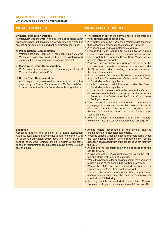## **SECTION 6 : LEGAL EXPENSES**

Cover only applies if shown in **your schedule**

#### **Criminal Prosecution Defence**

*Professional fees* incurred in the defence of criminal *Legal Proceedings* brought against an *Insured Person* as a result or any act or omission or alleged act or omission, including:-

#### **a) Police Station Representation**

*Professional Fees* incurred in representing an *Insured Person* at a Police Station where they are being interviewed under caution in relation to an alleged criminal act.

#### **b) Magistrates' Court Representation**

*Professional Fees* incurred in representing an *Insured Person* at a Magistrates' Court.

#### **c) Crown Court Representation**

A sum equal to any assessed income based contribution payable by the *Insured Person* towards *Professional Fees* incurred under the Crown Court Means Testing scheme.

## **WHAT IS COVERED WHAT IS NOT COVERED**

- The defence of any offence of violence, or deliberate and wilful criminal acts or omissions.
- Any matter where the *Authorised Professional* assesses that reasonable prospects of success do not exist.
- Any offence relating to a motor bike / vehicle.
- *Professional Fees* required to be paid by an *Insured Person* in excess of the pre-conviction assessed income based contribution under the Crown Court Means Testing scheme following conviction.
- Assessed income based contributions payable by the *Insured Person* towards *Professional Fees* incurred under the Crown Court Means Testing scheme which exceed the Limit of Indemnity.
- Any *Professional Fees* where the *Insured Person* fails to: a) apply for a Representation Order under the Crown Court Means Testing scheme.
	- b) submit any required information under the Crown Court Means Testing scheme.
	- c) comply with the terms of the Representation Order.
	- d) use a representative that can act under the terms of a Representation Order under the Crown Court Means Testing scheme.
- The defence of any action, enforcement, or recovery of sums payable against an *Insured Person* under the terms of or for a breach of the terms and conditions of a Representation Order under the Crown Court Means Testing scheme.
- Anything which is excluded under the "General Exclusions – Legal expenses section only" on page 16.

#### **Education**

Appealing against the decision of a Local Education Authority (LEA) arising out of the LEA's failure to comply with its published admission policy, resulting in the refusal to accept the *Insured Person's* child or children at the state school of their preference, subject to a *Claim Limit* of £5,000 any one claim.

- Arising where acceptance at the school involves examinations or other selection criteria.
- Involving schools which are not state schools falling under the LEA's jurisdiction or where responsibility for the allocation of a place(s) within the school does not rest with the LEA.
- Arising prior to the submission of an application to the school or LEA.
- Arising where the LEA's refusal occurred within the first 6 months of the first *Period of Insurance*.
- Where the procedure for appealing against the decision to refuse a place at the school has not been followed.
- Where the child has been expelled, suspended or permanently excluded from another school.
- For children under 5 years other than for admission disputes arising where entry shall be in the academic year prior to their 5th birthday.
- Anything which is excluded under the "General Exclusions – Legal expenses section only" on page 16.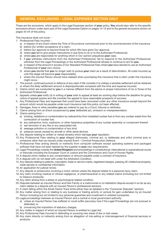## **GENERAL EXCLUSIONS – LEGAL EXPENSES SECTION ONLY**

These are the exclusions, which apply to the Legal Expenses section of **your** policy. **You** should also refer to the specific exclusions shown under each part of the Legal Expenses Option on pages 14-15 and to the general exclusions shown on pages 43-44 of this policy.

This insurance does not cover: -

- 1. *Professional Fees* incurred:
	- a) in respect of any *Event* where the *Time of Occurrence* commenced prior to the commencement of the insurance.
	- b) before *Our* written acceptance of a claim.
	- c) before *Our* approval or beyond those for which *We* have given *Our* approval.
	- d) where **you** fail to give proper instructions in due time to *Us* or to the *Authorised Professional*.
	- e) where **you** are responsible for anything which in *Our* opinion prejudices **your** case.
	- f) if **you** withdraw instructions from the *Authorised Professional*, fail to respond to the *Authorised Professional*, withdraw from the *Legal Proceedings* or the *Authorised Professional* refuses to continue to act for **you**.
	- g) in respect of the amount in excess of *Our* Standard *Professional Fees* where **you** have elected to use an *Authorised Professional* of **your** own choice.
	- h) where **you** decide that **you** no longer wish to pursue **your** claim as a result of disinclination. All costs incurred up until this stage will become **your** responsibility.
	- i) where the *Insured Person* should have realised when purchasing this insurance that a claim under this insurance might occur.
- 2. The pursuit, continued pursuit or defence of any claim if *We* consider it is unlikely a sensible settlement will be obtained or where the likely settlement amount is disproportionate compared with the time and expense incurred.
- 3. Claims which are conducted by **you** in a manner different from the advice or proper instructions of *Us* or those of the *Authorised Professional*.
- 4. Appeals unless **you** notify *Us* in writing of **your** wish to appeal at least six working days before the deadline for giving notice of appeal expires and *We* consider the appeal to have reasonable prospects of success.
- 5. Any *Professional Fees* and expenses that could have been recovered under any other insurance except beyond the amount which would be payable under such insurance had this policy not been effected.
- 6. Damages, fines or other penalties **you** are ordered to pay by a *Court*, tribunal or arbitrator.
- 7. Claims arising from an *Event* occasioned by **your** deliberate act, omission or misrepresentation.
- 8. Claims arising from:
	- a) ionising, radiations or contamination by radioactivity from irradiated nuclear fuel or from any nuclear waste from the combustion of nuclear fuel.
	- b) any radioactive, toxic, explosive, or other hazardous properties of any nuclear assembly or component thereof.
	- c) war terrorism or any like or any associated risk.
	- d) seepage pollution or contamination of any kind.
	- e) pressure waves caused by aircraft or other aerial devices.
- 9. Any dispute relating to written or verbal remarks which damage **your** reputation.
- 10. Any *Professional Fees* relating to **your** alleged dishonesty, criminal act, or deliberate and wilful criminal acts or omissions other than as insured under Insured Event – Criminal Prosecution Defence.
- 11. *Professional Fees* arising directly or indirectly from computer software except operating systems and packaged software that have not been tailored by the supplier to **your** own requirements.
- 12. *Legal Proceedings* outside the **United Kingdom** and proceedings in constitutional, international or supranational courts or tribunals including the European Court of Justice and the Commission and Court of Human Rights.
- 13. A dispute which relates to any compensation or amount payable under a contract of insurance.
- 14. A dispute with *Us* not dealt with under the Arbitration Condition.
- 15. Any dispute relating to patents, copyrights, trade or service marks, registered designs, passing off, intellectual property, trade secrets or confidential information.
- 16. An application for judicial review.
- 17. Any dispute or prosecution involving a motor vehicle unless the dispute relates to a personal injury claim.
- 18. Any claim involving medical or clinical negligence, or pharmaceutical or any related claims (including but not limited to tobacco products).
- 19. Any claim arising from a stress or psychological related condition.
- 20. Disputes between an *Insured Person* and their Family or a matrimonial or co-habitation dispute except in so far as any claim relates to a dispute with an *Insured Person's* professional advisors.
- 21. A claim falling within the Small Claims Track limits (other than as detailed in the "Consumer Disputes" section).
- 22. Any matter arising from or relating to any business or trading activity or venture for gain undertaken by an *Insured Person* including but not limited to any personal guarantee and investment in unlisted companies.
- 23. *Legal proceedings* between an *Insured Person* and a central or local government authority.
	- a) unless an *Insured Person* has suffered or could suffer pecuniary loss if the *Legal Proceedings* are not pursued or defended; or
	- b) concerning the imposition of statutory charges.
- 24. Any matter in respect of which an *Insured Person* is entitled to Legal Aid.
- 25. Any *Professional Fees* incurred in defending or pursuing new areas of law or test cases.
- 26. Any claim directly or indirectly arising from an allegation of mis-selling or mismanagement of financial services or products.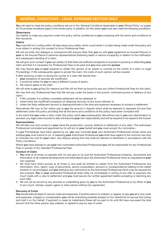## **GENERAL CONDITIONS – LEGAL EXPENSES SECTION ONLY**

**You** will need to meet the policy conditions set out in the 'General Conditions Applicable to **your** Whole Policy' on pages 42-43 as these conditions apply to the whole policy. In addition, for this option **you** must also meet the following conditions.

### **Observance**

*Our* liability to make any payment under this policy will be conditional on **you** complying with the terms and conditions of this insurance.

#### **Claims**

**You** must tell *Us* in writing within 30 days about any matter, which could result in a claim being made under this policy and must obtain in writing *Our* consent to incur *Professional Fees*.

*We* will not enter into dialogue or correspond with anyone other than **you** (or with **your** agreement an *Insured Person*) or **your** or the *Insured Person's* personal representatives (following death or serious incapacity) in relation to the notification and subsequent handling of a claim.

*We* will give such consent if **you** can satisfy *Us* that there are sufficient prospects of success in pursuing or defending **your** claim and that it is necessary for *Professional Fees* to be paid and **you** have paid the **excess**.

*We* may require **you** at **your** expense to obtain the opinion of an expert or counsel on the merits of a claim or *Legal Proceedings*. If *We* subsequently agree to accept the claim, the costs of such opinion will be covered.

If after receiving a claim or during the course of a claim *We* decide that:-

- 1. **your** prospects of success are insufficient;
- 2. it would be better for **you** to take a different course of action;
- 3. *We* cannot agree to the claim

*We* will write to **you** giving *Our* reasons and *We* will not then be bound to pay any further *Professional Fees* for this claim.

*We* may limit any *Professional Fees* that *We* will pay under the policy in the pursuit, continued pursuit or defence of any claim:-

- 1. if *We* consider it is unlikely a sensible settlement will be obtained; or
- 2. where there are insufficient prospects of obtaining recovery of any sums claimed; or
- 3. where the likely settlement amount is disproportionate to the time and expense necessary to achieve a settlement.

Alternatively *We* may at *Our* option pay to **you** the amount in dispute which shall be deemed to represent full and final settlement under this policy providing that all the terms and conditions of this policy have been complied with.

In the event that **you** make a claim under this policy which **you** subsequently discontinue due to **you** own disinclination to proceed, any legal costs incurred to date will become **your** own responsibility and will be required to be repaid to the Insurer.

#### **Representation**

*We* will take over and conduct in **your** name the prosecution, pursuit, defence or settlement of any claim. The *Authorised Professional* nominated and appointed by *Us* will act on **your** behalf and **you** must accept *Our* nomination.

If *Legal Proceedings* have been agreed by *Us*, **you** may nominate **your** own *Authorised Professional* whose name and address **you** must submit to *Us*. In selecting **your** *Authorised Professional* **you** shall have regard to the common law duty to minimise the cost for **your** claim. Any dispute arising from this shall be referred to Arbitration in accordance with the Policy Conditions.

Where **you** have elected to use **your** own nominated *Authorised Professional* **you** will be responsible for any *Professional Fees* in excess of *Our Standard Professional Fees*.

#### **Conduct of Claim**

- 1. **You** shall at all times co-operate with *Us* and give to *Us* and the *Authorised Professional* evidence, documents and information of all material developments and shall attend upon the *Authorised Professional* when so requested at **your** own expense.
- 2. *We* shall have direct access at all times to and shall be entitled to obtain from the *Authorised Professional* any information, form, report, copy of documents, advice computation, account or correspondence relating to the matter whether or not privileged, and **you** shall give any instructions to the *Authorised Professional* which may be required for this purpose. **You** or **your** *Authorised Professional* shall notify *Us* immediately in writing of any offer or payment into *Court* made with a view to settlement and **you** must secure *Our* written agreement before accepting or declining any such offer.
- 3. *We* will not be bound by any promise or undertaking given by **you** to the *Authorised Professional* or by either of **you** to any *Court*, witness, expert, *agent* or other person without *Our* agreement.

### **Recovery of Costs**

**You** should take all steps to recover costs and expenses. If another person is ordered, or agrees, to pay **you** all or any costs and expenses, charges or compensation **you** will do everything possible (subject to *Our* directions) to recover the money and hold it on *Our* behalf. If payment is made by instalments these will be paid to *Us* until *We* have recovered the total amount that the other person was ordered, or agreed to pay by way of costs.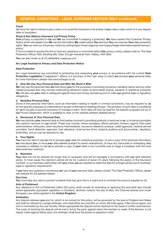## **GENERAL CONDITIONS – LEGAL EXPENSES SECTION ONLY (continued)**

## **Fraud**

*We* have the right to refuse to pay a claim or to avoid this Insurance in its entirety if **you** make a claim which is in any respect false or fraudulent.

### **Royal & Sun Alliance Insurance Ltd Privacy Policy**

**Your** privacy is important to **Us** and **We** are committed to keeping it protected. **We** have created this Customer Privacy Notice which will explain how **We** use the information **We** collect about **You** and how **You** can exercise **Your** data protection rights. **You** can view our full privacy notice by visiting https://www.rsagroup.com/support/legal-information/partner-privacypolicy/

If You're unable to access the link or have any questions or comments about **Our** privacy notice, please write to: The Data Protection Officer, RSA, Bowling Mill, Dean Clough Industrial Park, Halifax, HX3 5WA.

**You** can also email us at crt.halifax@uk.rsagroup.com

#### **Arc Legal Assistance Privacy and Data Protection Notice**

### **Data Protection**

Arc Legal Assistance are committed to protecting and respecting **your** privacy in accordance with the current **Data Protection Legislation** ("Legislation"). Below is a summary of the main ways in which **we** process **your** personal data, for more information please visit www.arclegal.co.uk

### **2. How We Use Your Personal Data and Who We Share it With**

**We** may use the personal data **we** hold about **you** for the purposes of providing insurance, handling claims and any other related purposes (this may include underwriting decisions made via automated means), research or statistical purposes. **We** will also use **your** data to safeguard against fraud and money laundering and to meet **our** general legal or regulatory obligations.

### **3. Sensitive Personal Data**

Some of the personal information, such as information relating to health or criminal convictions, may be required by **us** for the specific purposes of underwriting or as part of the claims handling process. The provision of such data is conditional for **us** to be able to provide insurance or manage a claim. Such data will only be used for the specific purposes set out in **our** Privacy Statement, which is available to view on the website address detailed above.

#### **4. Disclosure of Your Personal Data**

**We** may disclose **your** personal data to third parties involved in providing products or services to **us**, or to service providers who perform services on **our** behalf. These may include, where necessary, affinity partners, brokers, agents, third party administrators, reinsurers, other insurance intermediaries, insurance reference bureaus, credit agencies, medical service providers, fraud detection agencies, loss adjusters, external law firms, external auditors and accountants, regulatory authorities, and as may be required by law.

### **5. Your Rights**

**You** have the right to ask **us** not to process **your** data for marketing purposes, to see a copy of the personal information **we** hold about **you**, to have **your** data deleted (subject to certain exemptions), to have any inaccurate or misleading data corrected or deleted, to ask **us** to provide a copy of **your** data to any controller and to lodge a complaint with the local data protection authority.

#### **6. Retention**

**Your** data will not be retained for longer than is necessary and will be managed in accordance with **our** data retention policy. In most cases the retention period will be for a period of seven (7) years following the expiry of the insurance contract, or our business relationship with **you** unless **we** are required to retain the data for a longer period due to business, legal or regulatory requirements.

If **you** have any questions concerning **our** use of **your** personal data, please contact The Data Protection Officer, please see website for full address details.

### **Due Care**

**You** must take due care to prevent incidents that may give rise to a claim and to minimise the amount payable by *Us*.

### **Acts of Parliament**

Any reference to Act of Parliament within this policy shall include an amending or replacing Act and shall also include where applicable equivalent legislation in Scotland, Northern Ireland, the Isle of Man, the Channel Islands and under European Law where applied in the **United Kingdom**.

#### **Arbitration**

Any dispute between **you** and *Us*, which is not solved by this policy, will be governed by the laws of England and Wales and shall be referred to a single arbitrator, who shall either be a solicitor on whom *We* both agree. If *We* cannot agree, one who is nominated by the Law Society. Where appropriate the dispute will be resolved on the basis of written submissions. The costs of resolving the dispute will be met in full by the party against whom the decision is made. If the decision is not clearly made against either party, the arbitrator shall have the power to apportion costs.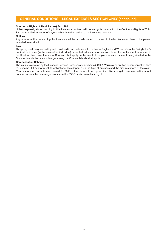## **GENERAL CONDITIONS – LEGAL EXPENSES SECTION ONLY (continued)**

#### **Contracts (Rights of Third Parties) Act 1999**

Unless expressly stated nothing in this insurance contract will create rights pursuant to the Contracts (Rights of Third Parties) Act 1999 in favour of anyone other than the parties to the insurance contract.

#### **Notices**

Any letter or notice concerning this insurance will be properly issued if it is sent to the last known address of the person intended to receive it.

#### **Law**

This policy shall be governed by and construed in accordance with the Law of England and Wales unless the Policyholder's habitual residence (in the case of an individual) or central administration and/or place of establishment is located in Scotland in which case the law of Scotland shall apply. In the event of the place of establishment being situated in the Channel Islands the relevant law governing the Channel Islands shall apply.

#### **Compensation Scheme**

The *Insurer* is covered by the Financial Services Compensation Scheme (FSCS). **You** may be entitled to compensation from the scheme, if it cannot meet its obligations. This depends on the type of business and the circumstances of the claim. Most insurance contracts are covered for 90% of the claim with no upper limit. **You** can get more information about compensation scheme arrangements from the FSCS or visit www.fscs.org.uk.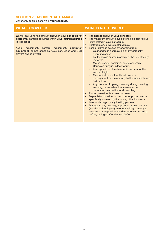## **SECTION 7 : ACCIDENTAL DAMAGE**

Cover only applies if shown in **your schedule**.

**We** will pay up to the amount shown in **your schedule** for **accidental** damage occurring within **your insured address** in respect of:

Audio equipment, camera equipment, **computer equipment**, games consoles, television, video and DVD players owned by **you**.

- The **excess** shown in **your schedule**.
- The maximum amount payable for single item /group limits stated in **your schedule.**
- Theft from any private motor vehicle.
- Loss or damage caused by or arising from:
	- Wear and tear, depreciation or any gradually operating cause.
	- Faulty design or workmanship or the use of faulty materials.
	- Moths, insects, parasites, beetle or vermin.
	- Corrosion, fungus, mildew or rot.
	- Atmospheric or climatic conditions, frost or the action of light.
	- Mechanical or electrical breakdown or derangement or use contrary to the manufacturer's instructions.
	- Any process of dyeing, cleaning, drying, painting, washing, repair, alteration, maintenance, decoration, restoration or dismantling.
- Property used for business purposes.
- Depreciation in value, indirect loss or property more specifically covered by this or any other insurance.
- Loss or damage by any heating process.
- Damage to any property, appliance, or any part of it (whether belonging to **you** or not) failing correctly to recognise or respond to any date whether occurring before, during or after the year 2000.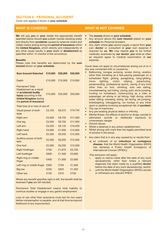## **SECTION 8 : PERSONAL ACCIDENT**

Cover only applies if shown in **your schedule**

**We** will pay **you** or **your** estate the appropriate benefit specified below should **you** sustain injuries resulting solely and directly from **accidents** caused by external violent and visible means arising during the **period of insurance** within the **United Kingdom,** which directly and independently of any other cause results in **your** death or **disablement** as specified within 12 months of the occurrence.

#### **Benefits**

Please note that benefits are determined by the **sum insured** shown on **your schedule**.

| <b>Sum Insured Selected</b>                                                                                                                                     | £10,000 | £25,000 | £50,000 |
|-----------------------------------------------------------------------------------------------------------------------------------------------------------------|---------|---------|---------|
| Death                                                                                                                                                           | £10,000 | £10,000 | £10,000 |
| <b>Permanent Total</b><br>Disablement as a result<br>of accidental bodily<br>injury occurring in the<br><b>United Kingdom during</b><br>the period of insurance | £10,000 | £25,000 | £50,000 |
| Total loss of or loss of use of:                                                                                                                                |         |         |         |
| Visual power of both<br>eyes                                                                                                                                    | £3,750  | £9,375  | £18,750 |
| Right arm                                                                                                                                                       | £3,500  | £8,750  | £17,500 |
| One leg                                                                                                                                                         | £3,500  | £8,750  | £17,500 |
| Left arm                                                                                                                                                        | £3,250  | £8,125  | £16,250 |
| <b>Right hand</b>                                                                                                                                               | £3,000  | £7,500  | £15,000 |
| Left hand                                                                                                                                                       | £2,500  | £6,250  | £12,500 |
| Auditive power of both<br>ears                                                                                                                                  | £2,500  | £6,250  | £12,500 |
| One foot                                                                                                                                                        | £2,500  | £6,250  | £12,500 |
| <b>Right forefinger</b>                                                                                                                                         | £750    | £1,875  | £3,750  |
| Left forefinger                                                                                                                                                 | £600    | £1,500  | £3,000  |
| Right ring or middle<br>finger                                                                                                                                  | £400    | £1,000  | £2,000  |
| Left ring or middle finger                                                                                                                                      | £300    | £750    | £1,500  |
| <b>Big toe</b>                                                                                                                                                  | £250    | £625    | £1,250  |
| Other toe                                                                                                                                                       | £150    | £375    | £750    |

Where any benefit specifies right or left, the benefit shall be reversed if **you** are left-handed.

Permanent Total Disablement means total inability to continue studies or engage in any gainful employment.

Loss of use other than severance must last for two years before compensation is payable, and at that time be beyond likelihood of any improvement.

## **WHAT IS COVERED WHAT IS NOT COVERED**

- The **excess** shown in **your schedule.**
- Any amount above the **sum insured** stated on **your schedule** for Personal Accident.
- Any claim where **you** cannot supply a report from **your** own **doctor** or consultant at **your** own expense if required by **us. We** may require **you** to be further medically examined by **our doctor**, **you** shall as often as required agree to medical examination at **our** expense.

Cover does not apply to circumstances arising out of or in any way connected with or caused by:

- Ballooning, bungee jumping, scuba diving, aviation other than travelling as a fare-paying passenger on a scheduled flight, gliding, paragliding, hang-gliding, micro lighting, motor rallying, parachuting, parascending, professional sports, racing of any kind other than on foot, climbing, solo sea sailing, mountaineering, pot holing, caving, polo, show jumping, hunting on horseback, motorcycling as a rider or passenger, jet skiing or jet biking, high diving, white water rafting, canoeing, skiing, ski racing, ski jumping, bobsleighing, tobogganing, ice hockey or any other sport or pastime involving exceptional risk of **accident**. The use of machinery.
- 
- Any pre-existing physical defect or infirmity. • Mental illness, the effects of alcohol or drugs, suicide or
- attempted suicide or deliberate exposure to unnecessary danger.
- Solvent abuse.
- Whilst a detainee in any prison establishment.
- Whilst driving with more than the legally permitted level of alcohol in the blood.
- Any claim that is in any way caused by or results from:
	- a) an outbreak of an **infectious or contagious disease**, that the World Health Organisation (WHO) has declared a Public Health Emergency of International Concern (PHEIC).

This exclusion will apply:

- i. apply to claims made after the date of any such declaration(s), other than where a relevant diagnosis has been made by a qualified **doctor** before the date of any such declaration(s), and/or
- ii. until the World Health Organisation (WHO) cancels or withdraws any relevant PHEIC.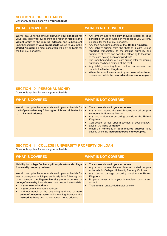## **SECTION 9 : CREDIT CARDS**

Cover only applies if shown in **your schedule**

**We** will pay up to the amount shown in **your schedule** for **your** legal liability following theft as a result of **forcible and violent entry** to the **insured address** and subsequent unauthorised use of **your credit cards** issued to **you** in the **United Kingdom** (in most cases **you** will only be liable for the first £50 per card).

## **WHAT IS COVERED WHAT IS NOT COVERED**

- Any amount above the **sum insured** stated on **your schedule** for Credit Cards (in most cases **you** will only be liable for the first £50 per card).
- Any theft occurring outside of the **United Kingdom.**
- Any liability arising from the theft of a card unless reported immediately to the issuing authority and subject to all terms and condition attaching to the issue of the card having been complied with.
- The unauthorised use of a card arising after the issuing authority has been notified of the theft.
- Any liability resulting from theft or subsequent use outside the **United Kingdom.**
- When the **credit cards** are in **your insured address**, loss caused while the **insured address** is **unoccupied.**

## **SECTION 10 : PERSONAL MONEY**

Cover only applies if shown in **your schedule**

**We** will pay up to the amount shown in **your schedule** for theft of personal **money** following **forcible and violent** entry to the **insured address**.

## **WHAT IS COVERED WHAT IS NOT COVERED**

- The **excess** shown in **your schedule**.
- Any amount above the **sum insured** stated on **your schedule** for Personal Money.
- Any loss or damage occurring outside of the **United Kingdom.**
- Confiscation or loss, error in payment or accountancy.
- Loss in the value of **money**.
- When the **money** is in **your insured address**, loss caused while the **insured address** is **unoccupied.**

## **SECTION 11 : COLLEGE | UNIVERSITY PROPERTY ON LOAN**

Cover only applies if shown in **your schedule**

## **Liability for college / university library books and college / university property on loan.** • The **excess** shown in **your schedule. WHAT IS COVERED WHAT IS NOT COVERED**

**We** will pay up to the amount shown in **your schedule** for loss or damage for which **you** are legally liable following loss of or damage to **college/university** property on loan or

- **college/university** library books by an insured event while: • In **your insured address**.
- In **your** permanent home address.
- In direct transit at the beginning and end of **your college/university term** while moving between the **insured address** and the permanent home address.
- Any amount above the **sum insured** stated on **your** schedule for College | University Property On Loan.
- Any loss or damage occurring outside the **United Kingdom.**
- Property unless it is in **your** immediate custody and control.
- Theft from an unattended motor vehicle.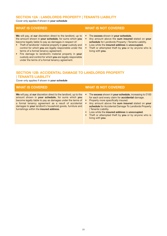## **SECTION 12A : LANDLORDS PROPERTY | TENANTS LIABILITY**

Cover only applies if shown in **your schedule**

**We** will pay, at **our** discretion direct to the landlord, up to the amount shown in **your schedule**, for sums which **you** become legally liable to pay as damages in respect of:

- Theft of landlords' material property in **your** custody and control for which **you** are legally responsible under the terms of a formal tenancy agreement.
- Fire damage to landlord's material property in **your** custody and control for which **you** are legally responsible under the terms of a formal tenancy agreement.

## **WHAT IS COVERED WHAT IS NOT COVERED**

- The **excess** shown in **your schedule.**
- Any amount above the **sum insured** stated on **your schedule** for Landlords Property | Tenants Liability.
- Loss while the **insured address** is **unoccupied.**
- Theft or attempted theft by **you** or by anyone who is living with **you.**

## **SECTION 12B: ACCIDENTAL DAMAGE TO LANDLORDS PROPERTY | TENANTS LIABILITY**

Cover only applies if shown in **your schedule**

**We** will pay, at **our** discretion direct to the landlord, up to the amount shown in **your schedule**, for sums which **you** become legally liable to pay as damages under the terms of a formal tenancy agreement as a result of accidental damages to **your** landlord's household goods, furniture and furnishings within the **insured address**.

- The **excess** shown in **your schedule**, increasing to £100 for each and every claim for **accidental** damage.
- Property more specifically insured.
- Any amount above the **sum insured** stated on **your schedule** for Accidental Damage To Landlords Property | Tenants Liability.
- Loss while the **insured address** is **unoccupied**.
- Theft or attempted theft by **you** or by anyone who is living with **you**.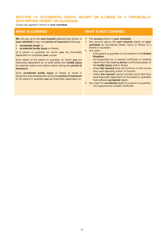## **SECTION 13: ACCIDENTAL DEATH, INJURY OR ILLNESS OF A FINANCIALLY SUPPORTING PARENT OR GUARDIAN**

Cover only applies if shown in **your schedule**

**We** will pay up to the **sum insured** selected and shown in **your schedule** in any one **period of insurance** following:

- **accidental death**; or
- **accidental bodily injury** or illness;

of a parent or guardian on whom **you** are financially dependent to complete **your** course.

Such death of the parent or guardian on which **you** are financially dependent on, to arise solely from **bodily injury** by external violent and visible means during the **period of insurance**.

Such **accidental bodily injury** or illness to result in temporary total disablement during the **period of insurance** to the parent or guardian **you** are financially dependent on.

- The **excess** shown in **your schedule.**
- Any amount above the **sum insured** stated on **your schedule** for Accidental Death, Injury or Illness of a Parent or Guardian.
- Any claim:
	- if the parent or guardian is not resident in the **United Kingdom**.
	- not supported by a medical certificate or medical report from the treating **doctor** confirming details of the **bodily injury** and/or illness.
	- where **the insured** does not continue on the course they were attending within 12 months.
	- where **the insured** cannot provide proof that they were financially dependent on the parent or guardian that suffered **accidental** death.
- Any claim for **accidental** death of a parent or guardian: - not supported by a death certificate.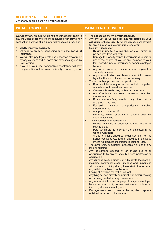## **SECTION 14 : LEGAL LIABILITY**

Cover only applies if shown in **your schedule**

**We** will pay any amount which **you** become legally liable to pay, including costs and expenses incurred with **our** written consent, in defence of a claim for damages as a result of:

- **Bodily injury** by **accident.**
- Damage to property happening during the **period of insurance.**
- **We** will also pay legal costs and expenses recoverable by any claimant and all costs and expenses agreed by **us** in writing.
- If **you** die, **your** legal personal representatives will have the protection of this cover for liability incurred by **you**.

- The **excess** as shown in **your schedule.**
- Any amount above the **sum insured** stated on **your schedule** for Legal Liability, where damages are payable for any claim or claims arising from one event.
- Liability in respect of:
	- **- Bodily injury** to any member or **your** family or person who lives with **you.**
	- **-** Damage to property owned by **you** or in **your** care or under the control of **you** or any member of **your** family or who lives with **you** or any person employed by **you.**
	- **-** Any trade, profession, business or employment or student placement.
	- **-** Any contract, which **you** have entered into, unless legal liability would have attached anyway.
- The ownership, possession or operation of:
	- **-** Road vehicles or any other mechanically propelled or assisted or horse drawn vehicle.
	- **-** Caravans, horse boxes, trailers or trailer tents.
	- **-** Aircraft or hovercraft, except pedestrian controlled models or toys.
	- **-** Boats, wind-surfers, boards or any other craft or equipment designed.
	- **-** For use in or on water, except pedestrian controlled models or toys.
	- **-** Any power operated lift.
	- **-** Firearms, except shotguns or airguns used for sporting activities.
- The ownership or possession of:
	- **-** Horses while being used for hunting, racing or playing polo.
	- **-** Pets, which are not normally domesticated in the **United Kingdom.**
	- **-** A dog of a type specified under Section 1 of the Dangerous Dogs Act 1991 or specified in the Dogs (muzzling) Regulations (Northern Ireland) 1991.
- The ownership, occupation, possession or use of any land or building.
- Any occurrence caused by or arising out of or contributed to by any tenancy, business profession or occupation.
- Any damage caused directly or indirectly to the room(s), including communal areas, kitchens and laundry, in which **you** are residing during the **period of insurance**.
- Any wilful or malicious act by **you.**
- Racing of any kind other than on foot.
- Anything caused directly or indirectly from **you** passing on or being treated for any disease or virus.
- Any responsibility as an employer to anyone employed by any of **your** family in any business or profession, including domestic employees.
- Damage, injury, death, illness or disease, which happens outside the **period of insurance.**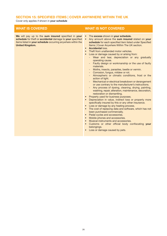## **SECTION 15: SPECIFIED ITEMS | COVER ANYWHERE WITHIN THE UK**

Cover only applies if shown in **your schedule**

**We** will pay up to the **sum insured** specified in **your schedule** for theft or **accidental** damage to **your** specified items listed in **your schedule** occurring anywhere within the **United Kingdom.**

- The **excess** shown in **your schedule.**
- Any amount above the **sum insured** stated on **your schedule** for each specified item listed under Specified Items | Cover Anywhere Within The UK section.
- **Accidental** loss.
- **Theft from unattended motor vehicles.**
- Loss or damage caused by or arising from:
	- Wear and tear, depreciation or any gradually operating cause.
	- Faulty design or workmanship or the use of faulty materials.
	- Moths, insects, parasites, beetle or vermin.
	- Corrosion, fungus, mildew or rot.
	- Atmospheric or climatic conditions, frost or the action of light.
	- Mechanical or electrical breakdown or derangement or use contrary to the manufacturer's instructions.
	- Any process of dyeing, cleaning, drying, painting, washing, repair, alteration, maintenance, decoration, restoration or dismantling.
- Property used for business purposes.
- Depreciation in value, indirect loss or property more specifically insured by this or any other insurance.
- Loss or damage by any heating process.
- The cost of replacing data and software, which has not been purchased commercially.
- Pedal cycles and accessories.
- Mobile phones and accessories.
- Musical instruments and accessories.
- Customs or other official body confiscating **your** belongings.
- Loss or damage caused by pets.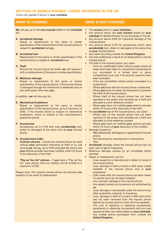## **SECTION 16: MOBILE PHONES | COVER ANYWHERE IN THE UK**

Cover only applies if shown in **your schedule**

**We** will pay up to the **sum insured** stated in the **schedule** for:

#### **A. Accidental damage**

Repair or replacement to the same or similar specification of the insured phone if the insured phone is subject to **accidental** damage.

### **B. Accidental loss**

Replacement to the same or similar specification if the insured phone is subject to **accidental** loss.

### **C. Theft**

Should the insured phone be stolen **we** will replace it with a mobile phone of the same or similar specification.

### **D. Malicious damage**

Repair or replacement to the same or similar specification of the insured phone, if the insured phone is damaged through the intentional or deliberate acts of any other party other than **you**.

In addition, **we** will also pay for:

### **E. Mechanical breakdown**

Repair or replacement to the same or similar specification of the insured phone, up to a maximum of £500, if the insured phone is subject to mechanical breakdown, which is outside of the manufacturer's guarantee period.

## **F. Accessories**

Accessories up to £150 that were **accidentally** lost, stolen or damaged at the same time as **your** insured phone.

## **G. Unauthorised Calls:**

**Contract phones** – should the insured phone be used without **your** permission following its theft or by call cloning **we** will pay up to £250 provided the police and **your** airtime provider have been notified, within 24 hours of the discovery of the theft.

**"Pay as You Go" phones** – If **you** have a "Pay as You Go" type phone, then our liability will be limited to a maximum of £20.

Please note: The original insured phone will become **our** property in the event of replacement.

- The **excess** shown in **your schedule.**
- Any amount above the **sum insured** stated on **your** schedule for Mobile Phones | Cover Anywhere In The UK.
- Any amount above £500 for malicious damage of the insured phone.
- Any amount above £150 for accessories which were **accidentally** lost, stolen or damaged at the same time as **your** insured phone.
- Any claim occurring outside the **United Kingdom.**
- Any loss suffered as a result of not being able to use the insured phone.
- For theft of the insured phone, any claim:
	- From an unattended motor vehicle except where all steps have been taken to conceal the insured phone e.g. concealed in a locked boot or glove compartment and only if all security systems have been activated.
	- From any convertible vehicle unless concealed in a locked boot.
	- Where **you** have left the insured phone unattended.
	- Where you have not taken all precautions to prevent the theft of the insured phone.
	- Where theft of the insured phone has not been reported to the police and recorded as a theft and allocated a crime reference number.
	- Where **you** have not notified **your** airtime provider within 24 hours of the discovery of the theft.
- For **accidental** loss of the insured phone, any claim:
	- Where loss of the insured phone has not been reported to the police and recorded as a theft and allocated a crime reference number.
	- Where **you** have not notified **your** airtime provider within 24 hours of **your** discovery of the incident.
- Damage caused by:
	- You deliberately damaging or neglecting the insured phone.
	- Not following the manufacturer's instructions.
- Pets.
- **Accidental** damage where the insured phone has not been sent to **us** for inspection.
- Malicious damage caused by an immediate family member.
- Repair or replacement cost for:
	- Loss caused by a manufacturer's defect or recall of the insured phone.
	- Loss, damage or theft of smart or SIM cards unless installed in the insured phone and in **your** possession.
	- Calls made after the insured phone has been stolen if a phone lock has not been installed.
	- Any cosmetic damage to the insured phone.
	- Any repairs carried out by persons not authorised by **us**.
	- Loss, damage or recoverable under the terms of any other guarantee, warranty or insurance.
	- Loss, damage or theft of a smart or SIM card which has not been removed from the insured phone before the insured phone is sent off to be repaired.
	- The cost of repairing or replacing accessories, peripherals or electrical connections and any loss caused by their use unless stated on **your schedule**.
	- Any mobile phone purchased from outside the **United Kingdom**.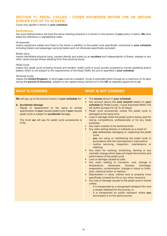## **SECTION 17: PEDAL CYCLES – COVER ANYWHERE WITHIN THE UK (WITHIN EUROPE FOR UP TO 45 DAYS)**

Cover only applies if shown in **your schedule.**

## **Definitions**

Any word defined below will have the same meaning wherever it is shown in this section of **your** policy in italics. **We** have listed the definitions in alphabetical order.

#### *Accessories*

means equipment added and fixed to the frame in addition to the *pedal cycle* specifically mentioned in **your schedule** including trailers and passenger carrying trailers and not otherwise specifically excluded.

#### *Bodily injury*

means identifiable physical injury, caused directly and solely by an **accident** and independently of illness, disease or any other cause (except illness resulting from that physical injury).

#### *Pedal Cycle*

means any *pedal cycle* including tricycle and tandem, trailer cycle or push scooter powered by human pedalling and/or battery which is not subject to the requirements of the Road Traffic Act and is specified in **your schedule**.

#### *Territorial Limits*

means the **United Kingdom**, in which **you** must be a resident. Cover is extended within Europe for a maximum of 45 days during the **period of insurance**, subject to any repairs being carried out in the **UK** by repairers approved by **us**.

**We** will pay up to the amount shown in **your schedule** for:

#### **A. Accidental damage**

Repair or replacement to the same or similar specification of **your** insured *pedal cycle* if **your** insured *pedal cycle* is subject to **accidental** damage.

The most **we** will pay for *pedal cycle accessories* is £150.

- The **excess** shown in **your schedule**.
- Any amount above the **sum insured** stated on **your schedule** for Pedal Cycles - Cover Anywhere Within The UK (within Europe For Up To 45 Days).
- *Pedal cycle accessories* unless the *pedal cycle* is damaged at the same time.
- Loss or damage whilst the *pedal cycle* is being used for racing, competitions, professionally or for any trade purposes.
- Any claim outside of the *territorial limits*.
- Any claim arising directly or indirectly as a result of:
	- **you** deliberately damaging or neglecting the *pedal cycle*;
	- **you** not using or maintaining the *pedal cycle* in accordance with the manufacturer's instructions;
	- routine servicing, inspection, maintenance or cleaning.
- Any claim for marking, scratching, denting or any cosmetic change which does not impair the function and performance of the *pedal cycle*.
- **Loss or damage caused by pets.**
- Any claim relating to corrosion, rust, change in temperature, dampness, dryness, shrinkage, evaporation, contamination, change in colour or finish, dust, chemical action or reaction.
- **Depreciation in value, indirect loss or property more** specifically covered by this or any other insurance.
- Any loss or damage caused to the *pedal cycle* in transit unless:
	- It is transported by a recognised transport firm and a receipt obtained for the journey, or
	- It is transported on public transport where **you** accompany it on the same journey.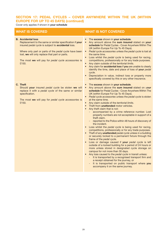## **SECTION 17: PEDAL CYCLES – COVER ANYWHERE WITHIN THE UK (WITHIN EUROPE FOR UP TO 45 DAYS) (continued)**

Cover only applies if shown in **your schedule**

| <b>WHAT IS COVERED</b>                                                                                                                                                                                                                                                                                                 | <b>WHAT IS NOT COVERED</b>                                                                                                                                                                                                                                                                                                                                                                                                                                                                                                                                                                                                                                                                                                                                                                                                                                                                                                                                                                                                                                                                                                                                                                                                                                                                                                                                                              |
|------------------------------------------------------------------------------------------------------------------------------------------------------------------------------------------------------------------------------------------------------------------------------------------------------------------------|-----------------------------------------------------------------------------------------------------------------------------------------------------------------------------------------------------------------------------------------------------------------------------------------------------------------------------------------------------------------------------------------------------------------------------------------------------------------------------------------------------------------------------------------------------------------------------------------------------------------------------------------------------------------------------------------------------------------------------------------------------------------------------------------------------------------------------------------------------------------------------------------------------------------------------------------------------------------------------------------------------------------------------------------------------------------------------------------------------------------------------------------------------------------------------------------------------------------------------------------------------------------------------------------------------------------------------------------------------------------------------------------|
| <b>B.</b> Accidental loss<br>Replacement to the same or similar specification if your<br>insured pedal cycle is subject to accidental loss.<br>Where only part or parts of the pedal cycle have been<br>lost, we will only replace that part or parts.<br>The most we will pay for pedal cycle accessories is<br>£150. | The excess shown in your schedule.<br>$\bullet$<br>Any amount above the sum insured stated on your<br>$\bullet$<br>schedule for Pedal Cycles - Cover Anywhere Within The<br>UK (within Europe For Up To 45 Days).<br>Pedal cycle accessories unless the pedal cycle is lost at<br>$\bullet$<br>the same time.<br>Loss whilst the pedal cycle is being used for racing,<br>$\bullet$<br>competitions, professionally or for any trade purposes.<br>Any claim outside of the territorial limits.<br>$\bullet$<br>Any claim for accidental loss if you are unable to clearly<br>identify the time, date and place of loss of your pedal<br>cycle.<br>Depreciation in value, indirect loss or property more<br>$\bullet$<br>specifically covered by this or any other insurance.                                                                                                                                                                                                                                                                                                                                                                                                                                                                                                                                                                                                            |
| C. Theft<br>Should your insured pedal cycle be stolen we will<br>replace it with a pedal cycle of the same or similar<br>specification.<br>The most we will pay for pedal cycle accessories is<br>£150.                                                                                                                | The excess shown in your schedule.<br>$\bullet$<br>Any amount above the sum insured stated on your<br>$\bullet$<br>schedule for Pedal Cycles - Cover Anywhere Within The<br>UK (within Europe For Up To 45 Days).<br>• Pedal cycle accessories unless the pedal cycle is stolen<br>at the same time.<br>Any claim outside of the territorial limits.<br>Theft from unattended motor vehicles.<br>Any theft claim that is not:<br>$\bullet$<br>accompanied by a crime reference number. Lost<br>property numbers are not acceptable in support of a<br>theft claim.<br>reported to the Police within 48 hours of discovery of<br>the incident.<br>Loss whilst the pedal cycle is being used for racing,<br>competitions, professionally or for any trade purposes.<br>• Theft of any unattended pedal cycle unless in a building<br>or securely locked to a permanent fixture through the<br>frame of the pedal cycle.<br>Loss or damage caused if your pedal cycle is left<br>outside of a locked building for a period of 24 hours or<br>more unless stored in designated cycle storage on<br>campus for not more than 30 days.<br>• Any loss caused to the pedal cycle in transit unless:<br>- It is transported by a recognised transport firm and<br>a receipt obtained for the journey, or<br>It is transported on public transport where you<br>accompany it on the same journey. |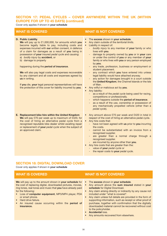## **SECTION 17: PEDAL CYCLES – COVER ANYWHERE WITHIN THE UK (WITHIN EUROPE FOR UP TO 45 DAYS) (continued)**

Cover only applies if shown in **your schedule**

## **D. Public Liability**

**We** will pay up to £1,000,000, for amounts which **you** become legally liable to pay, including costs and expenses incurred with **our** written consent, in defence of a claim for damages as a result of **you** being in possession of **your** insured *pedal cycle* and causing: a) *bodily injury* by **accident**, or b) damage to property

#### happening during the **period of insurance**.

**We** will also pay legal costs and expenses recoverable by any claimant and all costs and expenses agreed by **us** in writing.

If **you** die, **your** legal personal representatives will have the protection of this cover for liability incurred by **you**.

## **E. Replacement bike hire within the United Kingdom We** will pay £70 per week up to maximum of £420, for the cost of hiring an alternative pedal cycle from a recognised reputable bike dealer whilst awaiting repair or replacement of **your** *pedal cycle* when the subject of an approved claim.

## **WHAT IS COVERED WHAT IS NOT COVERED**

- The **excess** shown in **your schedule**.
- Any claim outside of the *territorial limits.*
- Liability in respect of:
	- *bodily injury* to any member of **your** family or who lives with **you**.
	- damage to property owned by **you** or in **your** care or under the control of **you** or any member of **your** family or who lives with **you** or any person employed by **you**.
	- any trade, profession, business or employment or student placement.
	- any contract which **you** have entered into unless legal liability would have attached anyway.
	- any action for damages brought in a court outside the **United Kingdom**, the Channel Islands or the Isle of Man.
- Any wilful or malicious act by **you**.
- Any liability:
	- as a result of the *pedal cycle* being used for racing. competitions or professionally.
	- which happens outside the **period of insurance**.
	- as a result of the use, ownership or possession of any mechanically propelled vehicle (other than a *pedal cycle*).
- Any amount above £70 per week and £420 in total in respect of the cost of hiring an alternative pedal cycle.
- Any hire costs that:
	- have not been agreed with **us** prior to **you** incurring the costs.
	- cannot be substantiated with an invoice from a recognised supplier.
	- are greater than a normal charge through a recognised supplier.
	- are incurred by anyone other than **you**.
- Any hire costs that are greater than the:
	- value of **your** *pedal cycle* or
	- the repair costs to **your** *pedal cycle*.

## **SECTION 18: DIGITAL DOWNLOAD COVER**

Cover only applies if shown in **your schedule**

**We** will pay up to the amount shown in **your schedule** for the cost of replacing digital, downloaded pictures, movies, ring tones, real tones and music that **you** have already paid for the following:

- Loss of **computer equipment**, MP3/MP4 player, PDA or smart phone.
- Hard drive failure.
- An insured cause occurring within the **period of insurance.**

- The **excess** shown in **your schedule**.
- Any amount above the **sum insured** stated in **your schedule** for Digital Download.
- Any claim arising directly or indirectly by any cause not included under "what is covered".
- Any claim unless full details are provided in the form of supporting information, such as receipt or other proof of purchase, together with confirmation that the digitally downloaded material cannot be recovered without cost to the policyholder.
- **Accidental** loss.
- Any amounts recovered from elsewhere.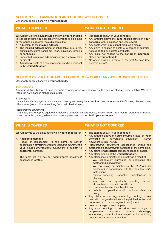## **SECTION 19: EXAMINATION AND COURSEWORK COVER**

Cover only applies if shown in **your schedule**

**W**e will pay up to the **sum insured** shown in **your schedule** in respect of costs **you** necessarily incurred to re-sit exams or reproduce coursework as a direct result of:

- A burglary to the **insured address**.
- The **insured address** being un-inhabitable due to fire, burst pipes, storm, vandalism, flood, explosion, lightning or earthquake.
- Impact to the **insured address** involving a vehicle, train or aircraft.
- **Accidental** death of a parent or guardian who is resident in the **United Kingdom**.

**WHAT IS COVERED WHAT IS NOT COVERED**

- The **excess** shown in **your schedule.**
- **•** Any amount above the **sum insured** stated in **your schedule** for Examination and Coursework.
- **•** Any costs which **you** cannot produce a receipt.
- **•** Any claim in relation to death of a parent or guardian not supported by a death certificate.
- **•** Any claim not relating to the **period of insurance** stated on **your schedule**.
- **•** No cover shall be in force for the first 14 days (the deferred period).

## **SECTION 20: PHOTOGRAPHIC EQUIPMENT – COVER ANYWHERE WITHIN THE UK**

Cover only applies if shown in **your schedule.**

## **Definitions**

Any word defined below will have the same meaning wherever it is shown in this section of **your** policy in italics. **We** have listed the definitions in alphabetical order.

#### *Bodily injury*

means identifiable physical injury, caused directly and solely by an **accident** and independently of illness, disease or any other cause (except illness resulting from that physical injury).

#### *Photographic Equipment*

means any photographic equipment including cameras, camera backs, lenses, filters, light meters, stands and tripods, cases, portable lighting, video and audio equipment and is specified in **your schedule**.

#### **We** will pay up to the amount shown in **your schedule** for: **A. Accidental damage** Repair or replacement to the same or similar specification of **your** insured *photographic equipment* if **your** insured *photographic equipment* is subject to **accidental** damage. The most **we** will pay for *photographic equipment* accessories is £150. • The **excess** shown in **your schedule**. • Any amount above the **sum insured** stated on **your schedule** for Photographic Equipment - Cover Anywhere Within The UK. • *Photographic equipment* accessories unless the *photographic equipment* is damaged at the same time. • Any claim for **accidental** damage to leads or cables. • Any claim outside of the **United Kingdom**. Any claim arising directly or indirectly as a result of: you deliberately damaging or neglecting the *photographic equipment*; - **you** not using or maintaining the *photographic equipment* in accordance with the manufacturer's instructions; routine servicing, inspection, maintenance or cleaning; wear and tear, gradually operating causes, atmospheric or climatic conditions; mechanical or electrical breakdown; defects in operation and/or faulty or defective design. • Any claim for marking, scratching, denting or any cosmetic change which does not impair the function and performance of the *photographic equipment*. • Loss or damage caused by pets. • Any claim relating to corrosion, rust, change in temperature, dampness, dryness, shrinkage, evaporation, contamination, change in colour or finish, **WHAT IS COVERED WHAT IS NOT COVERED**

dust, chemical action or reaction.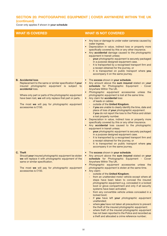## **SECTION 20: PHOTOGRAPHIC EQUIPMENT | COVER ANYWHERE WITHIN THE UK (continued)**

Cover only applies if shown in **your schedule**

| <b>WHAT IS COVERED</b>                                                                                                                                                                                                                                                                                                                                     | <b>WHAT IS NOT COVERED</b>                                                                                                                                                                                                                                                                                                                                                                                                                                                                                                                                                                                                                                                                                                                                                                                                                                                                                                                                                                                                                                                                                                     |
|------------------------------------------------------------------------------------------------------------------------------------------------------------------------------------------------------------------------------------------------------------------------------------------------------------------------------------------------------------|--------------------------------------------------------------------------------------------------------------------------------------------------------------------------------------------------------------------------------------------------------------------------------------------------------------------------------------------------------------------------------------------------------------------------------------------------------------------------------------------------------------------------------------------------------------------------------------------------------------------------------------------------------------------------------------------------------------------------------------------------------------------------------------------------------------------------------------------------------------------------------------------------------------------------------------------------------------------------------------------------------------------------------------------------------------------------------------------------------------------------------|
|                                                                                                                                                                                                                                                                                                                                                            | Any loss or damage to under water cameras caused by<br>$\bullet$<br>water ingress.<br>Depreciation in value, indirect loss or property more<br>$\bullet$<br>specifically covered by this or any other insurance.<br>Any accidental damage caused to the photographic<br>$\bullet$<br>equipment in transit unless:<br>your photographic equipment is securely packaged<br>in a purpose designed equipment case.<br>- It is transported by a recognised transport firm and<br>a receipt obtained for the journey, or<br>It is transported on public transport where you<br>accompany it on the same journey.                                                                                                                                                                                                                                                                                                                                                                                                                                                                                                                     |
| <b>B.</b> Accidental loss<br>Replacement to the same or similar specification if your<br>insured photographic equipment is subject to<br>accidental loss.<br>Where only part or parts of the photographic equipment<br>have been lost, we will only replace that part or parts.<br>The most we will pay for photographic equipment<br>accessories is £150. | The excess shown in your schedule.<br>Any amount above the sum insured stated on your<br>$\bullet$<br>schedule for Photographic Equipment - Cover<br>Anywhere Within The UK.<br>Photographic equipment accessories unless the<br>$\bullet$<br>photographic equipment is lost at the same time.<br>Any claim for accidental loss:<br>$\bullet$<br>of leads or cables;<br>outside of the United Kingdom.<br>if you are unable to clearly identify the time, date and<br>place of loss of your photographic equipment.<br>if you do not report the loss to the Police and obtain<br>a lost property number.<br>Depreciation in value, indirect loss or property more<br>$\bullet$<br>specifically covered by this or any other insurance.<br>Any accidental loss caused to the photographic<br>$\bullet$<br>equipment in transit unless:<br>your photographic equipment is securely packaged<br>in a purpose designed equipment case.<br>- It is transported by a recognised transport firm and<br>a receipt obtained for the journey, or<br>It is transported on public transport where you<br>accompany it on the same journey. |
| C. Theft<br>Should your insured photographic equipment be stolen<br>we will replace it with photographic equipment of the<br>same or similar specification.<br>The most we will pay for photographic equipment<br>accessories is £150.                                                                                                                     | The excess shown in your schedule.<br>Any amount above the sum insured stated on your<br>schedule for Photographic Equipment - Cover<br>Anywhere Within The UK.<br>Photographic equipment accessories unless the<br>$\bullet$<br>photographic equipment is stolen at the same time.<br>Any claim:<br>$\bullet$<br>outside of the United Kingdom;<br>from an unattended motor vehicle except where all<br>steps have been taken to conceal the insured<br>photographic equipment e.g. concealed in a locked<br>boot or glove compartment and only if all security<br>systems have been activated;<br>from any convertible vehicle unless concealed in a<br>locked boot;<br>if you have left your photographic equipment<br>unattended;<br>where you have not taken all precautions to prevent<br>the theft of the insured photographic equipment;<br>where theft of the insured photographic equipment<br>has not been reported to the Police and recorded as<br>a theft and allocated a crime reference number;                                                                                                                |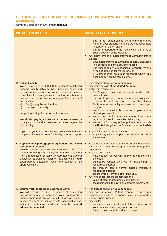## **SECTION 20: PHOTOGRAPHIC EQUIPMENT | COVER ANYWHERE WITHIN THE UK (continued)**

Cover only applies if shown in **your schedule**

| <b>WHAT IS COVERED</b>                                                                                                                                                                                                                                                                                                                                                                                                                                                                                                                                                                                                                                                                                     | <b>WHAT IS NOT COVERED</b>                                                                                                                                                                                                                                                                                                                                                                                                                                                                                                                                                                                                                                                                                                                                                                                                                              |
|------------------------------------------------------------------------------------------------------------------------------------------------------------------------------------------------------------------------------------------------------------------------------------------------------------------------------------------------------------------------------------------------------------------------------------------------------------------------------------------------------------------------------------------------------------------------------------------------------------------------------------------------------------------------------------------------------------|---------------------------------------------------------------------------------------------------------------------------------------------------------------------------------------------------------------------------------------------------------------------------------------------------------------------------------------------------------------------------------------------------------------------------------------------------------------------------------------------------------------------------------------------------------------------------------------------------------------------------------------------------------------------------------------------------------------------------------------------------------------------------------------------------------------------------------------------------------|
|                                                                                                                                                                                                                                                                                                                                                                                                                                                                                                                                                                                                                                                                                                            | - that is not accompanied by a crime reference<br>number. Lost property numbers are not acceptable<br>in support of a theft claim.<br>that is not reported to the Police within 24 hours of<br>your discovery of the incident.<br>Any claim for theft of photographic equipment in transit<br>$\bullet$<br>unless:<br>your photographic equipment is securely packaged<br>in a purpose designed equipment case.<br>It is transported by a recognised transport firm and<br>a receipt obtained for the journey, or<br>It is transported on public transport where you<br>accompany it on the same journey.                                                                                                                                                                                                                                               |
| <b>D. Public Liability</b><br>We will pay up to £1,000,000, for amounts which you<br>become legally liable to pay, including costs and<br>expenses incurred with our written consent, in defence<br>of a claim for damages as a result of you being in<br>possession of your insured photographic equipment<br>and causing:<br>bodily injury by accident, or<br>a)<br>damage to property<br>b)<br>happening during the period of insurance.<br>We will also pay legal costs and expenses recoverable<br>by any claimant and all costs and expenses agreed by<br>us in writing.<br>If you die, your legal personal representatives will have<br>the protection of this cover for liability incurred by you. | The excess shown on your schedule.<br>Any claim outside of the United Kingdom.<br>$\bullet$<br>Liability in respect of:<br>$\bullet$<br>bodily injury to any member of your family or who<br>lives with <b>vou</b> .<br>damage to property owned by you or in your care<br>or under the control of you or any member of your<br>family or who lives with you or any person employed<br>by you.<br>any trade, profession, business or employment or<br>student placement.<br>any contract which you have entered into unless<br>legal liability would have attached anyway.<br>any action for damages brought in a court outside<br>$\qquad \qquad -$<br>the United Kingdom, the Channel Islands or the Isle<br>of Man.<br>Any wilful or malicious act by you.<br>$\bullet$<br>Any liability which happens outside the period of<br>$\sim$<br>insurance. |
| E. Replacement photographic equipment hire within<br>the United Kingdom<br>We will pay £200 per week up to maximum of £800, for<br>the cost of hiring alternative photographic equipment<br>from a recognised reputable photographic equipment<br>dealer whilst awaiting repair or replacement of your<br>photographic equipment when the subject of an<br>approved claim.                                                                                                                                                                                                                                                                                                                                 | Any amount above £200 per week and £800 in total in<br>$\bullet$<br>respect of the cost of hiring alternative photographic<br>equipment.<br>Any hire costs that:<br>$\bullet$<br>have not been agreed with us prior to you incurring<br>the costs.<br>cannot be substantiated with an invoice from a<br>recognised supplier.<br>are greater than a normal charge through a<br>$\qquad \qquad -$<br>recognised supplier.<br>are incurred by anyone other than you.<br>Any hire costs that are greater than the:<br>value of your photographic equipment or<br>the repair costs to your photographic equipment.                                                                                                                                                                                                                                           |
| F. Coursework/photographic portfolio cover<br>We will pay up to £250 in respect of costs you<br>necessarily incur to reproduce your coursework /<br>photographic portfolio, as a result of loss or damage<br>caused by any of the insured events under section one,<br>whilst in the insured address when the insured<br>address is occupied.                                                                                                                                                                                                                                                                                                                                                              | The excess shown on your schedule.<br>Any amount above £250 in respect of costs you<br>$\bullet$<br>necessarily incur to reproduce your coursework /<br>photographic portfolio.<br>Any costs:<br>$\bullet$<br>not incurred as a direct result of the reproduction of<br>your coursework/photographic portfolio;<br>for which you cannot produce a receipt.<br>40                                                                                                                                                                                                                                                                                                                                                                                                                                                                                        |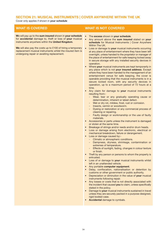## **SECTION 21: MUSICAL INSTRUMENTS | COVER ANYWHERE WITHIN THE UK**

Cover only applies if shown in **your schedule**

**W**e will pay up to the **sum insured** shown in **your schedule** for **accidental** damage to, theft or loss of **your** musical instruments anywhere within the **United Kingdom**.

**We** will also pay the costs up to £100 of hiring a temporary replacement musical instruments whilst the insured item is undergoing repair or awaiting replacement.

- The **excess** shown in **your schedule**.
- Any amount above the **sum insured** stated on **your schedule** for Musical Instruments | Cover Anywhere Within The UK.
- Loss or damage to **your** musical instruments occurring at any place of entertainment where they have been left overnight, unless handed to the proprietor or manager of the place of entertainment for safe keeping locked away in secure storage with any installed security devices in operation.
- Where **your** musical instruments are kept temporarily in any place which is not **your insured address**. Except where they have been handed to the management of an entertainment venue for safe keeping, the cover is operable providing that the musical instruments is in a secure locked room, with any security devices in operation, up to a maximum period of 72 hours at a time.
- Any claim for damage to **your** musical instruments resulting from:-
	- Wear, tear or any gradually operating cause or determination, inherent or latest defect.
	- Wet or dry rot, mildew, frost, rust or corrosion.
	- Insects, vermin or woodworm.
	- Dyeing or restoration or any commercial process of cleaning or repairing.
	- Faulty design or workmanship or the use of faulty materials.
- Accessories or parts unless the instrument is damaged or stolen at the same time.
- Breakage of strings and/or reeds and/or drum heads.
- Loss or damage arising from electronic, electrical or mechanical breakdown, failure or derangement.
- Loss or damage caused by:-
	- Climatic or atmospheric conditions.
	- Dampness, dryness, shrinkage, contamination or extremes of temperature.
	- Effects of sunlight, fading, changes in colour texture or finish.
- Theft by any person or persons to whom the property is entrusted.
- Loss of or damage to **your** musical instruments whilst left in an unattended vehicle.
- Any portable **computer equipment**.
- Delay, confiscation, nationalisation or detention by customs or other government or public authority.
- Depreciation or diminution in the value of **your** musical instruments following repair.
- Any losses or costs that is not directly associated with the incident that caused **you** to claim, unless specifically stated in the policy.
- Damage to **your** musical instruments sustained in travel unless they are securely packed in a purpose designed, rigid bodied case.
- **Accidental** damage to cymbals.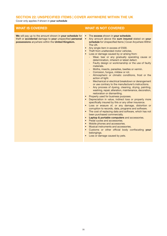## **SECTION 22: UNSPECIFIED ITEMS | COVER ANYWHERE WITHIN THE UK**

Cover only applies if shown in **your schedule**

**We** will pay up to the amount shown in **your schedule** for theft or **accidental** damage to **your** unspecified **personal possessions** anywhere within the **United Kingdom.**

- The **excess** shown in **your schedule**.
- Any amount above the **sum insured** stated on **your schedule** for Unspecified Items | Cover Anywhere Within The UK.
- Any single item in excess of £500.
- **Theft from unattended motor vehicles.**
- Loss or damage caused by or arising from:
	- Wear, tear or any gradually operating cause or determination, inherent or latest defect.
	- Faulty design or workmanship or the use of faulty materials.
	- Moths, insects, parasites, beetles or vermin.
	- Corrosion, fungus, mildew or rot.
	- Atmospheric or climatic conditions, frost or the action of light.
	- Mechanical or electrical breakdown or derangement or use contrary to the manufacturer's instructions.
	- Any process of dyeing, cleaning, drying, painting, washing, repair, alteration, maintenance, decoration, restoration or dismantling.
- Property used for business purposes.
- Depreciation in value, indirect loss or property more specifically insured by this or any other insurance.
- Loss or erasure of, or any damage, distortion or corruption to records, data, programs and software.
- The cost of replacing data and software, which has not been purchased commercially.
- **Laptop & portable computers** and accessories.
- Pedal cycles and accessories.
- Mobile phones and accessories.
- Musical instruments and accessories.
- Customs or other official body confiscating **your** belongings.
- Loss or damage caused by pets.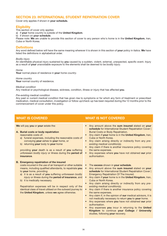## **SECTION 23: INTERNATIONAL STUDENT REPATRIATION COVER**

Cover only applies if shown in **your schedule.**

## **Eligibility**

This section of cover only applies:

a) if **your** *home country* is outside of the **United Kingdom**.

b) if shown on **your schedule**.

Please note: **We** are unable to provide this section of cover to any person who's *home* is in the **United Kingdom**, Iran, Cuba or North Korea.

## **Definitions**

Any word defined below will have the same meaning wherever it is shown in this section of **your** policy in italics. **We** have listed the definitions in alphabetical order.

## *Bodily injury*

An identifiable physical injury sustained by **you** caused by a sudden, violent, external, unexpected, specific event. Injury as a result of **your** unavoidable exposure to the elements shall be deemed to be *bodily injury*.

### *Home*

**Your** normal place of residence in **your** *home country*.

### *Home country*

Your normal country of residence.

#### *Medical condition*

Any medical or psychological disease, sickness, condition, illness or injury that has affected **you**.

### *Pre-existing medical condition*

Any past or current *medical condition* that has given rise to symptoms or for which any form of treatment or prescribed medication, medical consultation, investigation or follow up/check-up has been required during the 12 months prior to the commencement of cover under this policy.

**We** will pay **you** or **your** estate the:

## **A. Burial costs or body repatriation**

reasonable costs of:

- a) funeral expenses, including the reasonable costs of conveying **your** ashes to **your** *home*, or
- b) returning **your** body to **your** *home*

providing **your** death is as a result of **you** suffering unforeseen *bodily injury* or illness during the **period of insurance**.

### **B. Emergency repatriation of the insured**

costs incurred in the use of air transport or other suitable means, including qualified attendants, to repatriate **you** to **your** *home*, providing:

- a) it is as a result of **you** suffering unforeseen *bodily injury* or illness during the **period of insurance**, and
- b) it is medically necessary.

Repatriation expenses will be in respect only of the identical class of travel utilised on the outward journey to the **United Kingdom**, unless **we** agree otherwise.

- Any amount above the **sum insured** stated on **your schedule** for International Student Repatriation Cover | Burial Costs or Body Repatriation.
- Any claim if **your** *home* is in the **United Kingdom**, Iran, Cuba or North Korea.
- Any claim arising directly or indirectly from any *preexisting medical condition(s)*.
- Any claim if there is another insurance policy covering the same expenses.
- Any expenses where **you** have not obtained **our** prior authorisation.
- The **excess** shown in **your schedule**.
- Any amount above the **sum insured** stated on **your schedule** for International Student Repatriation Cover | Emergency Repatriation Of The Insured.
- Any claim if **your** *home* is in the **United Kingdom**, Iran, Cuba or North Korea.
- Any claim arising directly or indirectly from any *preexisting medical condition(s)*.
- Any claim if there is another insurance policy covering the same expenses.
- Any claim if, in the opinion of **our** medical advisors, it is not medically necessary to return **you** to **your** *home*.
- Any expenses where **you** have not obtained **our** prior authorisation.
- Any expenses **you** incur in returning to the **United Kingdom** to continue **your College / University** studies, following **your** recovery.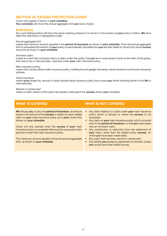## **SECTION 24: EXCESS PROTECTION COVER**

Cover only applies if shown in **your schedule.**

**Your schedule** will show the *annual aggregate limit* **you** have chosen.

## **Definitions**

Any word defined below will have the same meaning wherever it is shown in this section of **your** policy in italics. **We** have listed the definitions in alphabetical order.

#### *Annual aggregate limit*

means the maximum amount payable in the **period of insurance** as shown in **your schedule**. Once the *annual aggregate limit* is exhausted this section of **your** policy is automatically cancelled and **you** are then liable for all and any future **excess** amounts as shown in **your schedule**.

#### *Imminent claim*

means an event that could give rise to a claim under this policy, that **you** are or were aware of prior to the start of this policy, that was to be or had just been, reported under **your** *main insurance policy*.

#### *Main insurance policy*

means this Campus Block Halls insurance policy, mobile phone & gadget insurance, *travel insurance* and bicycle insurance policies.

#### *Travel insurance*

means **your** single trip, annual or study abroad *travel insurance* policy that covers **you** whilst travelling either in the **UK** or internationally.

#### *Waived or reimbursed*

means a claim where a third party has already made good the **excess** shown **your** schedule.

**We** will pay **you**, in any one **period of insurance**, an amount equal to the amount of the **excess** in relation to each settled claim on **your** *main insurance policy* up to **your** cover limit, shown on **your schedule.**

Cover will only operate when the **excess** of **your** *main insurance policy* is exceeded following the successful claim payment under that *main insurance policy*.

The maximum amount payable will be the *annual aggregate limit*, as shown in **your schedule**.

- Any claim relating to a claim under **your** *main insurance policy* which is refused or where the **excess** is not exceeded.
- Any claim on **your** *main insurance policy* which occurred prior to the **period of insurance**, or that **you** were aware was an *imminent claim*.
- Any contribution or deduction from the settlement of **your** claim, other than the stated policy **excess**, for which **you** have been made liable.
- Any claim that has been *waived or reimbursed*.
- Any liability **you** accept by agreement or contract, unless **you** would have been liable anyway.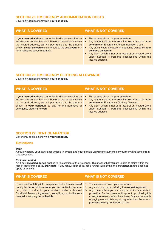## **SECTION 25: EMERGENCY ACCOMMODATION COSTS**

Cover only applies if shown in **your schedule.**

If **your insured address** cannot be lived in as a result of an insured event under Section 1: Personal possessions within the insured address, **we** will pay **you** up to the amount shown in **your schedule** to contribute to the costs **you** incur for emergency accommodation.

## **WHAT IS COVERED WHAT IS NOT COVERED**

- The **excess** shown in **your schedule**.
- Any amount above the **sum insured** stated on **your schedule** for Emergency Accommodation Costs.
- Any claim where the accommodation is owned by **your college / university**.
- Any claim which is not as a result of an insured event under Section 1: Personal possessions within the insured address.

## **SECTION 26: EMERGENCY CLOTHING ALLOWANCE**

Cover only applies if shown in **your schedule.**

If **your insured address** cannot be lived in as a result of an insured event under Section 1: Personal possessions within the insured address, **we** will pay **you** up to the amount shown in **your schedule** to pay for the purchase of emergency clothing for **you**.

## **WHAT IS COVERED WHAT IS NOT COVERED**

- The **excess** shown in **your schedule**.
- Any amount above the **sum insured** stated on **your schedule** for Emergency Clothing Allowance.
- Any claim which is not as a result of an insured event under Section 1: Personal possessions within the insured address.

## **SECTION 27: RENT GUARANTOR**

Cover only applies if shown in **your schedule.**

## **Definitions**

### *Debt*

A state whereby **your** bank account(s) is in arrears and **your** bank is unwilling to authorise any further withdrawals from this account(s).

#### *Exclusion period*

A 14 day *exclusion period* applies to this section of the insurance. This means that **you** are unable to claim within the first 14 days of the policy **start date**. If **you** renew **your** policy for a further 12 months, the *exclusion period* does not apply at renewal.

If, as a result of falling into unexpected and unforeseen *debt* during the **period of insurance**, **you** are unable to pay **your** rent, which is due to **your** landlord under a Assured Shorthold Tenancy Agreement, **we** will pay up to the **sum insured** shown in **your schedule**.

- 1. The **excess** shown in **your schedule**.
- 2. Any claim that occurs during the *exclusion period*.
- 3. Any claim unless **you** can supply bank statements to prove that, for the three months prior to purchasing this cover, **you** were (or would have been) financially capable of paying rent which is equal or greater than the amount **you** are currently contracted to pay.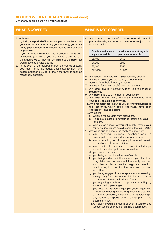## **SECTION 27: RENT GUARANTOR (continued)**

Cover only applies if shown in **your schedule**

#### **Conditions**

- 1. If, during the **period of insurance**, **you** are unable to pay **your** rent at any time during **your** tenancy, **you** must notify **your** landlord and cover4students.com as soon as possible.
- 2. If **you** fail to notify **your** landlord or cover4students.com as soon as **you** find out **you** are unable to pay the rent, the amount **we** will pay will be limited to the *debt* that would have otherwise applied.
- 3. In the event of de-registration from the course of study **you** must notify the educational establishment and accommodation provider of the withdrawal as soon as reasonably possible.

## **WHAT IS COVERED WHAT IS NOT COVERED**

4. Any amount in excess of the **sum insured** shown in **your schedule**, per **period of insurance**, subject to the following limits:

| <b>Sum Insured shown</b><br>in your schedule | Maximum amount payable<br>per calendar month |
|----------------------------------------------|----------------------------------------------|
| £5,400                                       | £450                                         |
| £7,200                                       | £600                                         |
| £9,000                                       | £750                                         |
| £12,000                                      | £1,000                                       |

- 5. Any amount that falls within **your** tenancy deposit.
- 6. Any claim unless **you** can supply a copy of **your** Assured Shorthold Tenancy Agreement.
- 7. Any claim for any other *debts* other than rent.
- 8. Any *debt* that is in existence prior to the **period of insurance**.
- 9. Any *debt* that is to a member of **your** family.
- 10. Any *debt* that is wholly or partially connected to or caused by gambling of any type.
- 11. Any circumstances known to **you** before **you** purchased this insurance, which could reasonably have been expected to lead to a claim.
- 12. Any claim:
	- a. which is recoverable from elsewhere.
	- b. if **you** are released from **your** obligations by **your** landlord.
	- c. which is as a result of **you** voluntarily leaving **your** study course, unless as a direct result of **your** *debt*.
- 13. Any claim arising directly indirectly as a result of:
	- a. **you** suffering neurosis, psychoneurosis, a psychopathic or mental disorder of any type.
	- b. **you** committing, or attempting to commit suicide orintentional self-inflicted injury.
	- c. **your** deliberate exposure to exceptional danger except in an attempt to save human life.
	- d. **your** own criminal act.
	- e. **you** being under the influence of alcohol.
	- f. **you** being under the influence of drugs, other than drugs taken in accordance with treatment prescribed and directed by a qualified registered medical practitioner, but not for the treatment of drug addiction.
	- g. **you** being engaged in winter sports, mountaineering, racing or any form of operational duties as a member of the armed forces or Territorial Army.
	- h. **you** engaging in aviation except when travelling by air as a paying passenger.
	- i. **you** engaging in parachute jumping, bungee jumping or free fall jumping, skin-diving involving breathing apparatus, potholing, hang-gliding or participating in any dangerous sports other than as part of the course of study.
	- 14. Any claim if **you** are under 16 or over 75 years of age (except where prior agreement has been made).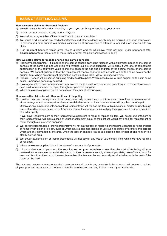## **BASIS OF SETTLING CLAIMS**

### **How we settle claims for Personal Accident**

- 1) **We** will pay any benefit under this policy to **you** if **you** are living, otherwise to **your** estate.
- 2) Interest will not be added to any amount payable.
- 3) **We** shall only pay one benefit in connection with the same **accident**.
- 4) **You** must produce for **us** any medical certificates and other evidence which may be required to support **your** claim. In addition **you** must submit to a medical examination at **our** expense as often as is required in connection with any claim.
- 5) If an **accident** happens which gives rise to a claim and for which **we** make payment under permanent total **disablement** or total loss of one or more limbs or eyes, the policy shall cease to apply.

## **How we settle claims for mobile phones and games consoles.**

- 1) Replacement Equipment If a mobile phone/games console cannot be replaced with an identical mobile phone/games console of the same age and condition, **we** through our preferred suppliers, will replace it with one of comparable specification or the equivalent value taking into account the age and condition of the original mobile phone/games console. **We** cannot guarantee that the replacement mobile phone/games console will be the same colour as the original item. Where an equivalent refurbished item is not available, **we** will replace with new.
- 2) Repairs Repairs will be carried out using readily available parts. Where possible we will use original parts but in some cases, unbranded parts may be used.
- 3) If **we** agree not to repair or replace an item, **we** will make a cash or voucher settlement equal to the cost **we** would have paid for replacement or repair through **our** preferred suppliers.
- 4) Where an **excess** applies, this will be taken off the amount of **your** claim.

#### **How we settle claims for all other sections of the policy.**

1) If an item has been damaged and it can be economically repaired **we**, cover4students.com or their representative will either arrange or authorise repair and **we**, cover4students.com or their representative will pay the cost of repair.

Otherwise, **we**, cover4students.com or their representative will replace the item with a new one of similar quality through **our** preferred suppliers, or **we**, cover4students.com or their representative will pay the replacement cost of a new item of similar quality.

If **we**, cover4students.com or their representative agree not to repair or replace an item, **we**, cover4students.com or their representative will make a cash or voucher settlement equal to the cost **we** would have paid for replacement or repair through **our** preferred suppliers.

- 2) **We**, cover4students.com or their representative will not pay the cost of replacing or changing undamaged items or parts of items which belong to a set, suite or which have a common design or use such as suites of furniture and carpets which are only damaged in one area, when the loss or damage relates to a specific item or part of one item or to a clearly defined area.
- 3) **We,** cover4students.com or their representative will not pay for any loss of value to any item, which **we** have repaired or replaced.
- 4) Where an **excess** applies, this will be taken off the amount of **your** claim.
- 5) If loss or damage happens and the **sum insured** on **your schedule** is less than the cost of replacing all **your** possessions as new, **we,** cover4students.com or their representative will, where appropriate, take off an amount for wear and tear from the cost of the new item unless the item can be economically repaired when only the cost of the repair will be paid.

The most **we,** cover4students.com or their representative will pay for any one claim is the amount it will cost **us** to replace all **your** possessions as new but not more than the **sum insured** and any limits shown in **your schedule**.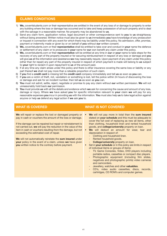## **CLAIMS CONDITIONS**

- 1) **We,** cover4students.com or their representative are entitled in the event of any loss of or damage to property to enter any building where the loss or damage has occurred and to take and keep possession of all such property and to deal with the salvage in a reasonable manner. No property may be abandoned to **us**.
- 2) Send any claim form, application notice, legal document or other correspondence sent to **you** to **us** straightaway without being answered. Written notice must also be given to **us** immediately **you** have knowledge of any prosecution or inquest in connection with any event for which there may be liability under this policy. No admission, offer, promise, payment or indemnity made or given by or on behalf of **you** without **our** written consent.
- 3) **We,** cover4students.com or their **representative** shall be entitled to take over and conduct in **your** name the defence or settlement of any claim or to prosecute in **your** name for **our** own benefit any claim under this policy.
- 4) **We,** cover4students.com or their **representative** will be entitled at any time in **our** or **your** name to take steps for the recovery of any part of the property insured or for securing reimbursement in respect of any loss or damage and **you** will give **us** all the information and assistance **we** may reasonably require. Upon payment of any claim under this policy (other than for repair) any part of the property insured in respect of which payment is made will belong to **us** subject to **your** right to reclaim it upon repayment to **us** of the amount paid.
- 5) If at any time any claim arises under this policy and there is other insurance covering the same loss or liability or any part thereof **we** shall not pay more than a rateable proportion of such claim.
- 6) If **you** find a **credit card** is missing tell the **credit card** company immediately and tell **us** as soon as **you** can.
- 7) If **you** are a victim of theft, riot, vandalism or something is lost, tell the police within 24 hours of discovering the loss or damage and ask for an incident number, then tell **us** as soon as **you** can.
- 8) **You** must not admit, settle, reject, negotiate or promise to pay any claim without **our** written permission. **We** will not unreasonably hold back **our** permission.
- 9) **You** must provide **us** with all the details and evidence which **we** ask for concerning the cause and amount of any loss, damage or injury. Where **we** have asked **you** for specific information relevant to **your** claim **we** will pay for any reasonable expenses **you** incur in providing **us** with the information. **You** must also help **us** to take legal action against anyone or help **us** defend any legal action if **we** ask **you** to.

**We** will repair or replace the lost or damaged property or pay in cash or vouchers the amount of the loss or damage.

If the damage can be repaired but repair or reinstatement is not carried out, **we** will pay the reduction in the value of the item in cash or vouchers resulting from the damage, but not exceeding the estimated cost of repair.

**We** will not automatically reinstate the **sum insured** under **your** policy in the event of a claim, unless **we** have given **you** written notice to the contrary before payment.

- **We** will not pay more in total than the **sum insured** stated on **your schedule** and this must be adequate to cover the full cost of replacing as new all items, other than clothing, household linen and rented household goods, and **college/university** property on loan.
- We will deduct an amount for wear, tear and depreciation in respect of:
	- Clothing and household linen.
	- Rented household goods.
	- **College/university** property on loan.
- Set in **your schedule** or in this policy are limits in respect of individual items or groups of items:
	- TV, Game Consoles, Video, DVD players including portable radios, cassettes or compact disc players.
	- Photographic equipment (including film slides, negatives and photographic prints) video cameras and camcorders.
	- Jewellery, watches and other **valuables**.
	- CD's, video audio cassettes, discs, records, cartridges, CD ROM's and computer games.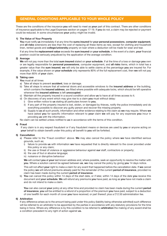## **GENERAL CONDITIONS APPLICABLE TO YOUR WHOLE POLICY**

These are the conditions of the insurance **you** will need to meet as **your** part of this contract. There are other conditions of insurance applicable to the Legal Expenses section on pages 17-19. If **you** do not, a claim may be rejected or payment could be reduced. In some circumstances **your** policy might be invalid.

### **1) The Value of Your Property**

**You** must notify **us** immediately if at any time the **sums insured** for **your personal possessions**, **computer equipment**, and **all risks** extensions are less than the cost of replacing all these items as new, except for clothing and household linen, rented goods and **college/university** property on loan where a deduction will be made for wear and tear.

If at any time the **replacement value** exceeds the **sum insured** on **your schedule**, in the event of a claim, **your** financial position could be seriously prejudiced by the application of the average condition.

### **2) Average**

**We** will not pay more than the total **sum insured** stated on **your schedule**. If at the time of a loss or damage **you** own or are legally responsible for **personal possessions**, computer equipment, and **all risks** items, which in total has a greater value than the **sum insured**, **we** will only be able to settle claims at the percentage **you** are insured for. For example, if the value shown on **your schedule** only represents 80% of the full replacement cost, then **we** will not pay more than 80% of **your** claim.

### **3) Taking care**

**You** must at all times

- a) Take all steps to prevent **accident**, loss or damage.
- b) Take all steps to ensure that all external doors and accessible windows to the **insured address** or the building, which contains the **insured address**, are fitted where possible with adequate locks, which should be left operative whenever the **insured address** is left **unoccupied**.
- c) Maintain all the property insured in a sound condition and allow **us** to have at all times access to it.
- d) On discovery of any event which may give rise to a claim **you** must without delay:
	- i) Give written notice to **us** stating all particulars known to **you.**
	- ii) If any part of the property insured is lost, stolen, or damaged by thieves, notify the police immediately and do everything possible to discover any guilty person and recover the missing property.
	- iii) Supply to **us** all such proofs, information and other evidence relating to the claim as **we** may require. Where **we** have asked **you** for specific information relevant to **your** claim **we** will pay for any expenses **you** incur in providing **us** with the information.

No claim can be settled unless notified to **us** in accordance with the terms of this condition.

## **4) Fraud**

If any claim is in any respect fraudulent or if any fraudulent means or devices are used by **you** or anyone acting on **your** behalf to obtain benefit under this policy all benefit to **you** will be forfeited.

## **5) Cancellation**

- a) Please refer to the 'Fraud condition' above. **We** may also cancel the policy where **we** have identified serious grounds, such as;
	- i) failure to provide **us** with information **we** have requested that is directly relevant to the cover provided under this policy or any claim;
	- ii) the use or threat of violence or aggressive behaviour against **our** staff, contractors or property;
	- iii) the use of foul or abusive language;
	- iv) nuisance or disruptive behaviour

**We** will contact **you** at **your** last known address and, where possible, seek an opportunity to resolve the matter with **you**. Where a solution cannot be agreed between **us**, **we** may cancel the policy by giving **you** 14 days notice.

This will not affect **your** right to make a claim for any event that happened before the cancellation date. If **we** cancel the policy **we** will refund premiums already paid for the remainder of the current **period of insurance**, provided no claim has been made during the current **period of insurance**.

b) **You** can cancel this policy within 14 days of the start date, or if later, within 14 days of the date **you** receive this document and **your schedule**. **We** will refund any premiums **you** have paid, as long as **you** have not made a claim and do not intend to make a claim.

**You** can also cancel **your** policy at any other time and provided no claim has been made during the current **period of insurance**, **you** will be entitled to a refund of a proportion of the premium **you** have paid, subject to a deduction of one twelfth for each month of cover **you** have received; or part thereof; plus a £12.50 administration fee.

#### **6) Arbitration**

If any difference arises as to the amount being paid under this policy (liability being otherwise admitted) such difference will be referred to an arbitrator to be appointed by the parties in accordance with any statutory provisions for the time being in force. Where any difference is by this condition to be referred to **arbitration** the making of any award shall be a condition precedent to any right of action against **us.**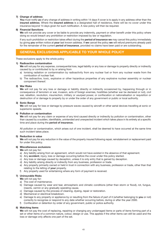## **7) Change of address**

**You** must notify **us** of any change of address in writing within 14 days if cover is to apply in any address other than the **insured address**. Where the **insured address** is a designated hall of residence, there will be no cover under this insurance beyond 14 days given for such notification. A new policy will then be required.

### **8) Financial Sanctions**

**We** will not provide any cover or be liable to provide any indemnity, payment or other benefit under this policy where doing so would breach any prohibition or restriction imposed by law or regulation.

If any such prohibition or restriction takes effect during the **period of insurance we** may cancel this policy immediately by giving **you** written notice at **your** last known address. If **we** cancel the policy **we** will refund premiums already paid for the remainder of the current **period of insurance**, provided no claims have been paid or are outstanding.

## **GENERAL EXCLUSIONS APPLICABLE TO YOUR WHOLE POLICY**

These exclusions apply to the whole policy

### **1) Radioactive contamination**

**We** will not pay for any expense, consequential loss, legal liability or any loss or damage to property directly or indirectly caused by or contributed to by or arising from

- a) Ionising radiation or contamination by radioactivity from any nuclear fuel or from any nuclear waste from the combustion of nuclear fuel.
- b) The radioactive, toxic, explosive or other hazardous properties of any explosive nuclear assembly or nuclear component thereof.

### **2) War Risks**

**We** will not pay for any loss or damage or liability directly or indirectly occasioned by, happening through or in consequence of terrorism or war, invasion, acts of foreign enemies, hostilities (whether war be declared or not), civil war, rebellion, revolution, insurrection, military or usurped power, or confiscation or nationalisation or requisition or destruction of or damage to property by or under the order of any government or public or local authority.

### **3) Sonic Bangs**

**We** will not pay for loss or damage by pressure waves caused by aircraft or other aerial devices travelling at sonic or supersonic speeds.

### **4) Pollution or contamination**

**We** will not pay for any claim or expense of any kind caused directly or indirectly by pollution or contamination, other than caused by a sudden, identifiable, unintended and unexpected incident which takes place in its entirety at a specific time and place during the **period of insurance.**

All pollution or contamination, which arises out of one incident, shall be deemed to have occurred at the same time such incident takes place.

### **5) Reduction in value**

**We** will not pay for any reduction in the value of the property insured following repair, reinstatement or replacement paid for under this policy.

### **6) Miscellaneous exclusions**

**We** will not pay for:

- a) Any liability arising from an agreement, which would not have existed in the absence of that agreement.
- b) Any **accident**, injury, loss or damage occurring before the cover under this policy started.
- c) Any loss or damage caused by deception, unless it is only entry that is gained by deception.
- d) Any liability arising directly or indirectly from any business, profession or trade.
- e) Any property primarily owned or held in trust in connection with any business, profession or trade, other than that relating to the letting of **your** property.
- f) Any property used for entertaining where any form of payment is received.

## **7) Uninsurable Risks**

**We** will not pay for:

- a) The cost of maintenance.
- b) Damage caused by wear and tear, atmospheric and climatic conditions (other than storm or flood), rot, fungus, insects, vermin or any gradually operating cause.
- c) Damage caused by the process of cleaning, dyeing, repair or restoration.
- d) Mechanical or electrical breakdown.
- e) Damage to any property or appliance by or resulting from the failure of part of it (whether belonging to **you** or not) correctly to recognise or respond to any date whether occurring before, during or after the year 2000.
- f) Confiscation or detention by order of any government, public or police authority.

## **8) Matching items**

**We** will not pay the cost of replacing, repairing or changing any undamaged items or parts of items forming part of a set or other items of a common nature, colour, design or use. This applies if the other items can still be used and the loss or damage only affects one part of the set.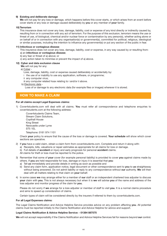### **9) Existing and deliberate damage**

**We** will not pay for any loss or damage, which happens before this cover starts, or which arises from an event before cover starts or any loss or damage caused deliberately by **you** or any member of **your** family.

#### **10) Terrorism**

This insurance does not cover any loss, damage, liability, cost or expense of any kind directly or indirectly caused by, resulting from or in connection with any act of terrorism. For the purpose of this exclusion, terrorism means the use or threat of use, of biological, chemical and/or nuclear force or contamination by any person(s), whether acting alone or on behalf of or in connection with any organisation(s) or government(s), committed for political, religious, ideological or similar purposes, including the intention to influence any government(s) or put any section of the public in fear.

#### **11) Infectious or contagious disease**

This insurance does not cover any loss, damage, liability, cost or expense, in any way caused by or resulting from: a) an **infectious or contagious disease**;

b) any fear or threat of a) above; or

c) any action taken to minimise or prevent the impact of a) above.

#### **12) Cyber and data exclusion clause**

### **We** will not pay for any:

a) Cyber -

- Loss, damage, liability, cost or expense caused deliberately or accidentally by:
- i the use of or inability to use any application, software, or programme;
- ii any computer virus;
- iii any computer related hoax relating to i and/or ii above.

b) Electronic data -

Loss of or damage to any electronic data (for example files or images) wherever it is stored.

## **HOW TO MAKE A CLAIM**

#### **For all claims except Legal Expenses claims:**

1) Cover4students.com will deal with all claims. **You** must refer all correspondence and telephone enquiries to cover4students.com at the following address:

Cover4students Claims Team, Stream Claim Solutions, Copthall House King Street Newcastle under Lyme ST5 1EL Telephone: 0161 974 1101

Check **your** policy to ensure that the cause of the loss or damage is covered. **Your schedule** will show which cover sections are operative.

- 2) If **you** have a valid claim, obtain a claim form from cover4students.com. Complete and return it along with:
	- a) Receipts, bills, valuations or repair estimates as appropriate for all claims for loss or damage.
	- b) Full details of **accident** or injury and early prognosis for personal **accident** claims.

All claims for theft or loss must be reported to the police.

- 3) Remember that some of **your** cover (for example personal liability) is provided to cover **you** against claims made by others. If **you** are held responsible for loss, damage or injury it is essential that **you**:
	- a) Tell **us** immediately and provide details in writing as soon as possible and
	- b) Send any claim form, application notice, legal document or other correspondence sent to **you** to **us** straightaway without being answered. Do not admit liability or reply to any correspondence without **our** authority. **We** will then deal with all matters relating to that claim on **your** behalf.
- 4) In some cases **we** may arrange either for a member of **our** staff or an independent chartered loss adjuster to discuss **your** claim with **you.** This is not always necessary but when it is **we** will advise **you** of the name and address of the loss adjuster and monitor progress of the claim for **you.**

Please do not worry if **we** arrange for a loss adjuster or member of staff to visit **you**. It is a normal claims procedure and aims to speed up consideration of claims.

Certain types of claim will be considered directly by the insurers if referred to them by cover4students.com.

#### **For all Legal Expenses claims:**

The Legal Claims Notification and Advice Helpline Service provides advice on any problem affecting **you**. All potential claims must be reported initially to the Claims Notification and Advice Helpline for advice and support.

#### **Legal Claims Notification & Advice Helpline Service: - 01384 887575**

**We** will not accept responsibility if the Claims Notification and Advice Helpline Services fail for reasons beyond **our** control.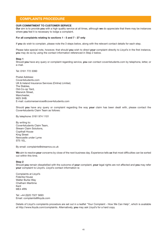## **COMPLAINTS PROCEDURE**

#### **OUR COMMITMENT TO CUSTOMER SERVICE**

**Our** aim is to provide **you** with a high quality service at all times, although **we** do appreciate that there may be instances where **you** feel it is necessary to lodge a complaint.

#### **For all complaints relating to sections 1 - 5 and 7 - 27 only**

If **you** do wish to complain, please note the 3 steps below, along with the relevant contact details for each step.

Please take special note, however, that should **you** wish to direct **your** complaint directly to Lloyd's in the first instance, **you** may do so by using the contact information referenced in Step 2 below.

#### **Step 1**

Should **you** have any query or complaint regarding service, **you** can contact cover4students.com by telephone, letter, or e-mail.

Tel: 0161 772 3390

Postal Address: Cover4students.com UK & Ireland Insurance Services (Online) Limited, The Stables, Old-Co-op Yard, Warwick Street, Manchester, M25 3HB. E-mail: customerservices@cover4students.com

Should **you** have any query or complaint regarding the way **your** claim has been dealt with, please contact the Cover4students Claim Team as follows:

By telephone: 0161 974 1101

By writing to: Cover4students Claim Team, Stream Claim Solutions, Copthall House King Street Newcastle under Lyme ST5 1EL.

By email: complaints@streamcs.co.uk

**We** aim to resolve **your** concerns by close of the next business day. Experience tells **us** that most difficulties can be sorted out within this time.

#### **Step 2**

Should **you** remain dissatisfied with the outcome of **your** complaint, **your** legal rights are not affected and **you** may refer **your** complaint to Lloyd's. Lloyd's contact information is:

Complaints at Lloyd's Fidentia House Walter Burke Way Chatham Maritime Kent ME4 4RN

Tel: +44 (0)20 7327 5693 Email: complaints@lloyds.com

Details of Lloyd's complaints procedure are set out in a leaflet "Your Complaint - How We Can Help", which is available at http://www.lloyds.com/complaints. Alternatively, **you** may ask Lloyd's for a hard copy.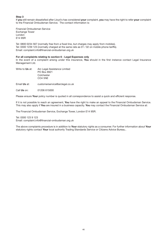## **Step 3**

If **you** still remain dissatisfied after Lloyd's has considered **your** complaint, **you** may have the right to refer **your** complaint to the Financial Ombudsman Service. The contact information is:

Financial Ombudsman Service Exchange Tower London E14 9SR

Tel: 0800 0234 567 (normally free from a fixed line, but charges may apply from mobiles). Tel: 0300 1239 123 (normally charged at the same rate as 01 / 02 on mobile phone tariffs). Email: complaint.info@financial-ombudsman.org.uk

### **For all complaints relating to section 6 - Legal Expenses only**

In the event of a complaint arising under this insurance, **You** should in the first instance contact Legal Insurance Management Ltd.

- Write to **Us** at: Arc Legal Assistance Limited PO Box 8921 Colchester CO4 5NE
- Email **Us** at: customerservice@arclegal.co.uk
- Call **Us** on: 01206 615000

Please ensure **Your** policy number is quoted in all correspondence to assist a quick and efficient response.

If it is not possible to reach an agreement, **You** have the right to make an appeal to the Financial Ombudsman Service. This may also apply if **You** are insured in a business capacity. **You** may contact the Financial Ombudsman Service at:

The Financial Ombudsman Service, Exchange Tower, London E14 9SR.

Tel: 0300 123 9 123 Email: complaint.info@financial-ombudsman.org.uk

The above complaints procedure is in addition to **Your** statutory rights as a consumer. For further information about **Your** statutory rights contact **Your** local authority Trading Standards Service or Citizens Advice Bureau..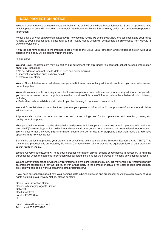## **DATA PROTECTION NOTICE**

**We** and Cover4students.com are the data controller(s) (as defined by the Data Protection Act 2018 and all applicable laws which replace or amend it, including the General Data Protection Regulation) who may collect and process **your** personal information.

For full details of what data **we** collect about **you**, how **we** use it, who **we** share it with, how long **we** keep it and **your** rights relating to **your** personal data, please refer to **our** Privacy Notice which will be available on **our** website from May 2018 www.canopius.com.

If **you** do not have access to the Internet, please write to the Group Data Protection Officer (address below) with **your** address and a copy will be sent to **you** in the post.

#### In summary:

**We** and Cover4students.com may, as part of **our** agreement with **you** under this contract, collect personal information about **you**, including:

- Name, address, contact details, date of birth and cover required
- Financial information such as bank details
- Details of any claim

**We** and Cover4students.com will also collect personal information about any additional people who **you** wish to be insured under the policy.

**We** and Cover4students.com may also collect sensitive personal information about **you**, and any additional people who **you** wish to be insured under the policy, where the provision of this type of information is in the substantial public interest, including:

• Medical records to validate a claim should **you** be claiming for sickness or an accident.

**We** and Cover4students.com collect and process **your** personal information for the purpose of insurance and claims administration.

All phone calls may be monitored and recorded and the recordings used for fraud prevention and detection, training and quality control purposes.

**Your** personal information may be shared with third parties which supply services to **us** or which process information on **our** behalf (for example, premium collection and claims validation, or for communication purposes related to **your** cover). **We** will ensure that they keep **your** information secure and do not use it for purposes other than those that **we** have specified in **our** Privacy Notice.

Some third parties that process **your** data on **our** behalf may do so outside of the European Economic Area ("EEA"). This transfer and processing is protected by EU Model Contracts which aim to provide the equivalent level of data protection to that found in the EU.

**We** and Cover4students.com will keep **your** personal information only for as long as **we** believe is necessary to fulfill the purposes for which the personal information was collected (including for the purpose of meeting any legal obligations).

**We** and Cover4students.com will share **your** information if **we** are required to by law. **We** may share **your** information with enforcement authorities if they ask **us** to, or with a third party in the context of actual or threatened legal proceedings, provided **we** can do so without breaching data protection laws.

If **you** have any concerns about how **your** personal data is being collected and processed, or wish to exercise any of **your** rights detailed in **our** Privacy Notice, please contact:

Group Data Protection Officer Canopius Managing Agents Limited Gallery 9 One Lime Street London EC3M 7HA **LIK** 

Email: privacy@canopius.com Tel: + 44 20 7337 3700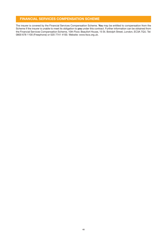## **FINANCIAL SERVICES COMPENSATION SCHEME**

The insurer is covered by the Financial Services Compensation Scheme. **You** may be entitled to compensation from the Scheme if the insurer is unable to meet its obligation to **you** under this contract. Further information can be obtained from the Financial Services Compensation Scheme, 10th Floor, Beaufort House, 15 St. Botolph Street, London, EC3A 7QU. Tel: 0800 678 1100 (Freephone) or 020 7741 4100. Website: www.fscs.org.uk.